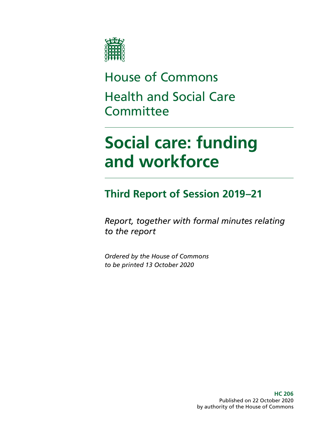

House of Commons Health and Social Care **Committee** 

# **Social care: funding and workforce**

## **Third Report of Session 2019–21**

*Report, together with formal minutes relating to the report*

*Ordered by the House of Commons to be printed 13 October 2020*

> **HC 206** Published on 22 October 2020 by authority of the House of Commons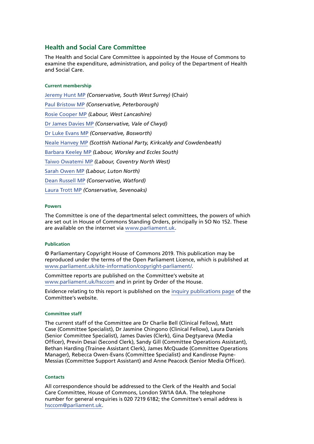#### **Health and Social Care Committee**

The Health and Social Care Committee is appointed by the House of Commons to examine the expenditure, administration, and policy of the Department of Health and Social Care.

#### **Current membership**

[Jeremy Hunt MP](https://members.parliament.uk/member/1572/contact) *(Conservative, South West Surrey)* (Chair) [Paul Bristow MP](https://members.parliament.uk/member/4792/contact) *(Conservative, Peterborough)* [Rosie Cooper MP](https://members.parliament.uk/member/1538/contact) *(Labour, West Lancashire)* [Dr James Davies MP](https://members.parliament.uk/member/4476/contact) *(Conservative, Vale of Clwyd)* [Dr Luke Evans MP](https://members.parliament.uk/member/4781/contact) *(Conservative, Bosworth)* [Neale Hanvey MP](https://members.parliament.uk/member/4782/contact) *(Scottish National Party, Kirkcaldy and Cowdenbeath)* [Barbara Keeley MP](https://members.parliament.uk/member/1588/contact) *(Labour, Worsley and Eccles South)* [Taiwo Owatemi MP](https://members.parliament.uk/member/4779/contact) *(Labour, Coventry North West)* [Sarah Owen MP](https://members.parliament.uk/member/4777/contact) *(Labour, Luton North)* [Dean Russell MP](https://members.parliament.uk/member/4812/contact) *(Conservative, Watford)* [Laura Trott MP](https://members.parliament.uk/member/4780/contact) *(Conservative, Sevenoaks)*

#### **Powers**

The Committee is one of the departmental select committees, the powers of which are set out in House of Commons Standing Orders, principally in SO No 152. These are available on the internet via [www.parliament.uk.](http://www.parliament.uk/)

#### **Publication**

© Parliamentary Copyright House of Commons 2019. This publication may be reproduced under the terms of the Open Parliament Licence, which is published at [www.parliament.uk/s](https://www.parliament.uk/site-information/copyright-parliament/)ite-information/copyright-parliament/.

Committee reports are published on the Committee's website at [www.parliament.uk/hsccom](http://www.parliament.uk/hsccom) and in print by Order of the House.

Evidence relating to this report is published on the [inquiry publications page](https://committees.parliament.uk/work/136/social-care-funding-and-workforce/publications/) of the Committee's website.

#### **Committee staff**

The current staff of the Committee are Dr Charlie Bell (Clinical Fellow), Matt Case (Committee Specialist), Dr Jasmine Chingono (Clinical Fellow), Laura Daniels (Senior Committee Specialist), James Davies (Clerk), Gina Degtyareva (Media Officer), Previn Desai (Second Clerk), Sandy Gill (Committee Operations Assistant), Bethan Harding (Trainee Assistant Clerk), James McQuade (Committee Operations Manager), Rebecca Owen-Evans (Committee Specialist) and Kandirose Payne-Messias (Committee Support Assistant) and Anne Peacock (Senior Media Officer).

#### **Contacts**

All correspondence should be addressed to the Clerk of the Health and Social Care Committee, House of Commons, London SW1A 0AA. The telephone number for general enquiries is 020 7219 6182; the Committee's email address is [hsccom@parliament.uk](mailto:hsccom%40parliament.uk?subject=).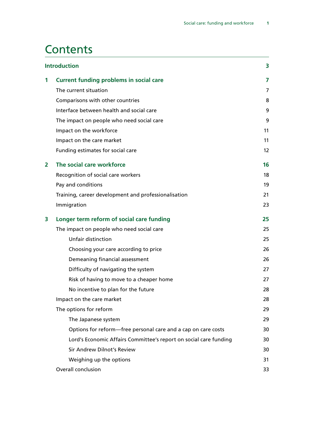## **Contents**

| <b>Introduction</b> |                                                                   | 3                 |
|---------------------|-------------------------------------------------------------------|-------------------|
| 1                   | <b>Current funding problems in social care</b>                    | 7                 |
|                     | The current situation                                             | $\overline{7}$    |
|                     | Comparisons with other countries                                  | 8                 |
|                     | Interface between health and social care                          | 9                 |
|                     | The impact on people who need social care                         | 9                 |
|                     | Impact on the workforce                                           | 11                |
|                     | Impact on the care market                                         | 11                |
|                     | Funding estimates for social care                                 | $12 \overline{ }$ |
| 2                   | The social care workforce                                         | 16                |
|                     | Recognition of social care workers                                | 18                |
|                     | Pay and conditions                                                | 19                |
|                     | Training, career development and professionalisation              | 21                |
|                     | Immigration                                                       | 23                |
| 3                   | Longer term reform of social care funding                         | 25                |
|                     | The impact on people who need social care                         | 25                |
|                     | Unfair distinction                                                | 25                |
|                     | Choosing your care according to price                             | 26                |
|                     | Demeaning financial assessment                                    | 26                |
|                     | Difficulty of navigating the system                               | 27                |
|                     | Risk of having to move to a cheaper home                          | 27                |
|                     | No incentive to plan for the future                               | 28                |
|                     | Impact on the care market                                         | 28                |
|                     | The options for reform                                            | 29                |
|                     | The Japanese system                                               | 29                |
|                     | Options for reform-free personal care and a cap on care costs     | 30                |
|                     | Lord's Economic Affairs Committee's report on social care funding | 30                |
|                     | Sir Andrew Dilnot's Review                                        | 30                |
|                     | Weighing up the options                                           | 31                |
|                     | Overall conclusion                                                | 33                |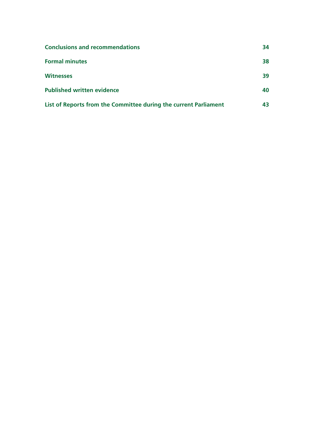| <b>Conclusions and recommendations</b>                           | 34 |
|------------------------------------------------------------------|----|
| <b>Formal minutes</b>                                            | 38 |
| <b>Witnesses</b>                                                 | 39 |
| <b>Published written evidence</b>                                | 40 |
| List of Reports from the Committee during the current Parliament | 43 |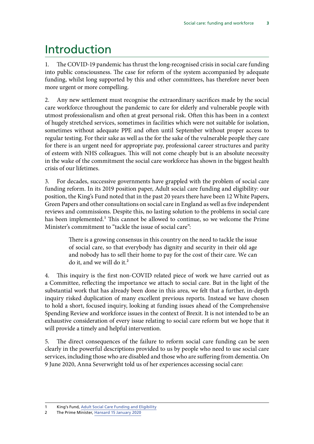## <span id="page-4-0"></span>Introduction

1. The COVID-19 pandemic has thrust the long-recognised crisis in social care funding into public consciousness. The case for reform of the system accompanied by adequate funding, whilst long supported by this and other committees, has therefore never been more urgent or more compelling.

2. Any new settlement must recognise the extraordinary sacrifices made by the social care workforce throughout the pandemic to care for elderly and vulnerable people with utmost professionalism and often at great personal risk. Often this has been in a context of hugely stretched services, sometimes in facilities which were not suitable for isolation, sometimes without adequate PPE and often until September without proper access to regular testing. For their sake as well as the for the sake of the vulnerable people they care for there is an urgent need for appropriate pay, professional career structures and parity of esteem with NHS colleagues. This will not come cheaply but is an absolute necessity in the wake of the commitment the social care workforce has shown in the biggest health crisis of our lifetimes.

3. For decades, successive governments have grappled with the problem of social care funding reform. In its 2019 position paper, Adult social care funding and eligibility: our position, the King's Fund noted that in the past 20 years there have been 12 White Papers, Green Papers and other consultations on social care in England as well as five independent reviews and commissions. Despite this, no lasting solution to the problems in social care has been implemented.<sup>1</sup> This cannot be allowed to continue, so we welcome the Prime Minister's commitment to "tackle the issue of social care":

> There is a growing consensus in this country on the need to tackle the issue of social care, so that everybody has dignity and security in their old age and nobody has to sell their home to pay for the cost of their care. We can do it, and we will do it.<sup>2</sup>

4. This inquiry is the first non-COVID related piece of work we have carried out as a Committee, reflecting the importance we attach to social care. But in the light of the substantial work that has already been done in this area, we felt that a further, in-depth inquiry risked duplication of many excellent previous reports. Instead we have chosen to hold a short, focused inquiry, looking at funding issues ahead of the Comprehensive Spending Review and workforce issues in the context of Brexit. It is not intended to be an exhaustive consideration of every issue relating to social care reform but we hope that it will provide a timely and helpful intervention.

5. The direct consequences of the failure to reform social care funding can be seen clearly in the powerful descriptions provided to us by people who need to use social care services, including those who are disabled and those who are suffering from dementia. On 9 June 2020, Anna Severwright told us of her experiences accessing social care:

King's Fund, [Adult Social Care Funding and Eligibility](https://www.kingsfund.org.uk/projects/positions/adult-social-care-funding-and-eligibility)

<sup>2</sup> The Prime Minister, [Hansard 15 January 2020](https://hansard.parliament.uk/Commons/2020-01-15/debates/2CA2C0F3-F47F-4201-AFB2-3D951B3C2F29/Engagements#contribution-91F94C9C-5A34-44CC-ADC6-5823367D76C0)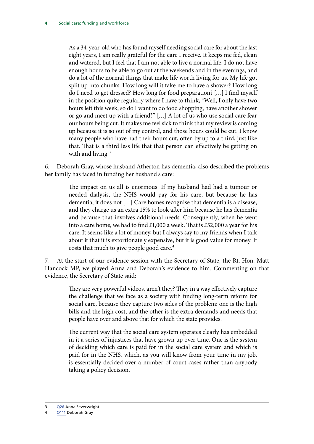As a 34-year-old who has found myself needing social care for about the last eight years, I am really grateful for the care I receive. It keeps me fed, clean and watered, but I feel that I am not able to live a normal life. I do not have enough hours to be able to go out at the weekends and in the evenings, and do a lot of the normal things that make life worth living for us. My life got split up into chunks. How long will it take me to have a shower? How long do I need to get dressed? How long for food preparation? […] I find myself in the position quite regularly where I have to think, "Well, I only have two hours left this week, so do I want to do food shopping, have another shower or go and meet up with a friend?" […] A lot of us who use social care fear our hours being cut. It makes me feel sick to think that my review is coming up because it is so out of my control, and those hours could be cut. I know many people who have had their hours cut, often by up to a third, just like that. That is a third less life that that person can effectively be getting on with and living.<sup>3</sup>

6. Deborah Gray, whose husband Atherton has dementia, also described the problems her family has faced in funding her husband's care:

> The impact on us all is enormous. If my husband had had a tumour or needed dialysis, the NHS would pay for his care, but because he has dementia, it does not […] Care homes recognise that dementia is a disease, and they charge us an extra 15% to look after him because he has dementia and because that involves additional needs. Consequently, when he went into a care home, we had to find £1,000 a week. That is £52,000 a year for his care. It seems like a lot of money, but I always say to my friends when I talk about it that it is extortionately expensive, but it is good value for money. It costs that much to give people good care.<sup>4</sup>

7. At the start of our evidence session with the Secretary of State, the Rt. Hon. Matt Hancock MP, we played Anna and Deborah's evidence to him. Commenting on that evidence, the Secretary of State said:

> They are very powerful videos, aren't they? They in a way effectively capture the challenge that we face as a society with finding long-term reform for social care, because they capture two sides of the problem: one is the high bills and the high cost, and the other is the extra demands and needs that people have over and above that for which the state provides.

> The current way that the social care system operates clearly has embedded in it a series of injustices that have grown up over time. One is the system of deciding which care is paid for in the social care system and which is paid for in the NHS, which, as you will know from your time in my job, is essentially decided over a number of court cases rather than anybody taking a policy decision.

<sup>3</sup> [Q26](https://committees.parliament.uk//oralevidence/482/html) Anna Severwright

<sup>4</sup> [Q111](https://committees.parliament.uk//oralevidence/706/html) Deborah Gray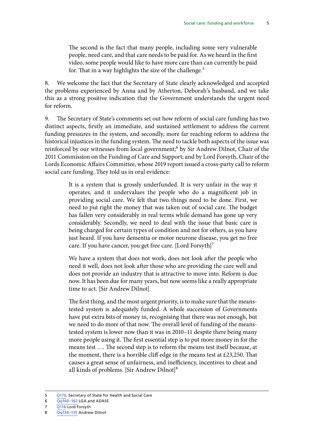The second is the fact that many people, including some very vulnerable people, need care, and that care needs to be paid for. As we heard in the first video, some people would like to have more care than can currently be paid for. That in a way highlights the size of the challenge.<sup>5</sup>

8. We welcome the fact that the Secretary of State clearly acknowledged and accepted the problems experienced by Anna and by Atherton, Deborah's husband, and we take this as a strong positive indication that the Government understands the urgent need for reform.

9. The Secretary of State's comments set out how reform of social care funding has two distinct aspects, firstly an immediate, and sustained settlement to address the current funding pressures in the system, and secondly, more far reaching reform to address the historical injustices in the funding system. The need to tackle both aspects of the issue was reinforced by our witnesses from local government;<sup>6</sup> by Sir Andrew Dilnot, Chair of the 2011 Commission on the Funding of Care and Support; and by Lord Forsyth, Chair of the Lords Economic Affairs Committee, whose 2019 report issued a cross-party call to reform social care funding. They told us in oral evidence:

> It is a system that is grossly underfunded. It is very unfair in the way it operates, and it undervalues the people who do a magnificent job in providing social care. We felt that two things need to be done. First, we need to put right the money that was taken out of social care. The budget has fallen very considerably in real terms while demand has gone up very considerably. Secondly, we need to deal with the issue that basic care is being charged for certain types of condition and not for others, as you have just heard. If you have dementia or motor neurone disease, you get no free care. If you have cancer, you get free care. [Lord Forsyth]<sup>7</sup>

> We have a system that does not work, does not look after the people who need it well, does not look after those who are providing the care well and does not provide an industry that is attractive to move into. Reform is due now. It has been due for many years, but now seems like a really appropriate time to act. [Sir Andrew Dilnot]

> The first thing, and the most urgent priority, is to make sure that the meanstested system is adequately funded. A whole succession of Governments have put extra bits of money in, recognising that there was not enough, but we need to do more of that now. The overall level of funding of the meanstested system is lower now than it was in 2010–11 despite there being many more people using it. The first essential step is to put more money in for the means test …. The second step is to reform the means test itself because, at the moment, there is a horrible cliff edge in the means test at £23,250. That causes a great sense of unfairness, and inefficiency, incentives to cheat and all kinds of problems. [Sir Andrew Dilnot]<sup>8</sup>

<sup>5</sup> [Q170,](https://committees.parliament.uk//oralevidence/817/html) Secretary of State for Health and Social Care

 $\overline{Qq160}$ –162 LGA and ADASS

<sup>7</sup> [Q116](https://committees.parliament.uk//oralevidence/706/html) Lord Forsyth

<sup>8</sup> [Qq134–135](https://committees.parliament.uk//oralevidence/706/html) Andrew Dilnot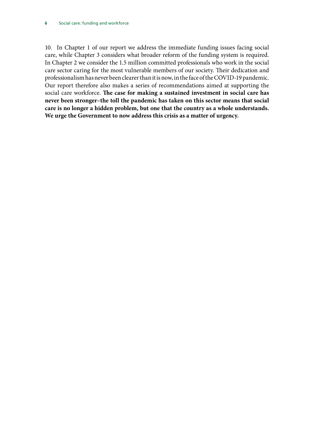10. In Chapter 1 of our report we address the immediate funding issues facing social care, while Chapter 3 considers what broader reform of the funding system is required. In Chapter 2 we consider the 1.5 million committed professionals who work in the social care sector caring for the most vulnerable members of our society. Their dedication and professionalism has never been clearer than it is now, in the face of the COVID-19 pandemic. Our report therefore also makes a series of recommendations aimed at supporting the social care workforce. **The case for making a sustained investment in social care has never been stronger–the toll the pandemic has taken on this sector means that social care is no longer a hidden problem, but one that the country as a whole understands. We urge the Government to now address this crisis as a matter of urgency.**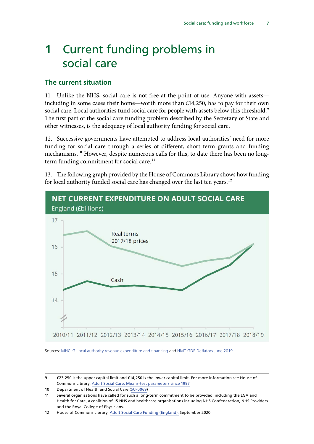## <span id="page-8-0"></span>**1** Current funding problems in social care

#### **The current situation**

11. Unlike the NHS, social care is not free at the point of use. Anyone with assets including in some cases their home—worth more than £14,250, has to pay for their own social care. Local authorities fund social care for people with assets below this threshold.<sup>9</sup> The first part of the social care funding problem described by the Secretary of State and other witnesses, is the adequacy of local authority funding for social care.

12. Successive governments have attempted to address local authorities' need for more funding for social care through a series of different, short term grants and funding mechanisms.<sup>10</sup> However, despite numerous calls for this, to date there has been no longterm funding commitment for social care.<sup>11</sup>

13. The following graph provided by the House of Commons Library shows how funding for local authority funded social care has changed over the last ten years.<sup>12</sup>



Sources: [MHCLG Local authority revenue expenditure and financing](https://www.gov.uk/government/collections/local-authority-revenue-expenditure-and-financing) and [HMT GDP Deflators June 2019](https://www.gov.uk/government/statistics/gdp-deflators-at-market-prices-and-money-gdp-june-2019-quarterly-national-accounts)

9 £23,250 is the upper capital limit and £14,250 is the lower capital limit. For more information see House of Commons Library, [Adult Social Care: Means-test parameters since 1997](http://researchbriefings.files.parliament.uk/documents/CBP-8005/CBP-8005.pdf)

<sup>10</sup> Department of Health and Social Care [\(SCF0069](https://committees.parliament.uk/writtenevidence/7686/html))

<sup>11</sup> Several organisations have called for such a long-term commitment to be provided, including the LGA and Health for Care, a coalition of 15 NHS and healthcare organisations including NHS Confederation, NHS Providers and the Royal College of Physicians.

<sup>12</sup> House of Commons Library, [Adult Social Care Funding \(England\),](http://researchbriefings.files.parliament.uk/documents/CBP-7903/CBP-7903.pdf) September 2020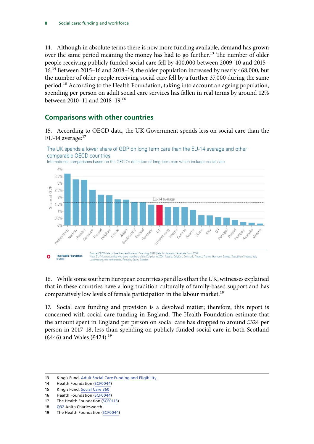<span id="page-9-0"></span>14. Although in absolute terms there is now more funding available, demand has grown over the same period meaning the money has had to go further.<sup>13</sup> The number of older people receiving publicly funded social care fell by 400,000 between 2009–10 and 2015– 16.14 Between 2015–16 and 2018–19, the older population increased by nearly 468,000, but the number of older people receiving social care fell by a further 37,000 during the same period.15 According to the Health Foundation, taking into account an ageing population, spending per person on adult social care services has fallen in real terms by around 12% between 2010–11 and 2018–19.16

### **Comparisons with other countries**

15. According to OECD data, the UK Government spends less on social care than the EU-14 average:<sup>17</sup>



The UK spends a lower share of GDP on long term care than the EU-14 average and other comparable OECD countries

16. While some southern European countries spend less than the UK, witnesses explained that in these countries have a long tradition culturally of family-based support and has comparatively low levels of female participation in the labour market.<sup>18</sup>

17. Social care funding and provision is a devolved matter; therefore, this report is concerned with social care funding in England. The Health Foundation estimate that the amount spent in England per person on social care has dropped to around £324 per person in 2017–18, less than spending on publicly funded social care in both Scotland  $(£446)$  and Wales  $(£424).<sup>19</sup>$ 

<sup>13</sup> King's Fund, [Adult Social Care Funding and Eligibility](https://www.kingsfund.org.uk/projects/positions/adult-social-care-funding-and-eligibility)

<sup>14</sup> Health Foundation ([SCF0044\)](https://committees.parliament.uk/writtenevidence/6340/html)

<sup>15</sup> King's Fund, [Social Care 360](https://www.kingsfund.org.uk/publications/social-care-360/access)

<sup>16</sup> Health Foundation ([SCF0044\)](https://committees.parliament.uk/writtenevidence/6340/html)

<sup>17</sup> The Health Foundation ([SCF0113](https://committees.parliament.uk/writtenevidence/12588/html))

<sup>18</sup> [Q32](https://committees.parliament.uk//oralevidence/482/html) Anita Charlesworth

<sup>19</sup> The Health Foundation ([SCF0044](https://committees.parliament.uk/writtenevidence/6340/html))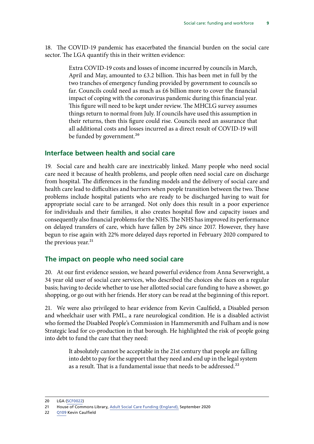<span id="page-10-0"></span>18. The COVID-19 pandemic has exacerbated the financial burden on the social care sector. The LGA quantify this in their written evidence:

> Extra COVID-19 costs and losses of income incurred by councils in March, April and May, amounted to £3.2 billion. This has been met in full by the two tranches of emergency funding provided by government to councils so far. Councils could need as much as £6 billion more to cover the financial impact of coping with the coronavirus pandemic during this financial year. This figure will need to be kept under review. The MHCLG survey assumes things return to normal from July. If councils have used this assumption in their returns, then this figure could rise. Councils need an assurance that all additional costs and losses incurred as a direct result of COVID-19 will be funded by government.<sup>20</sup>

### **Interface between health and social care**

19. Social care and health care are inextricably linked. Many people who need social care need it because of health problems, and people often need social care on discharge from hospital. The differences in the funding models and the delivery of social care and health care lead to difficulties and barriers when people transition between the two. These problems include hospital patients who are ready to be discharged having to wait for appropriate social care to be arranged. Not only does this result in a poor experience for individuals and their families, it also creates hospital flow and capacity issues and consequently also financial problems for the NHS. The NHS has improved its performance on delayed transfers of care, which have fallen by 24% since 2017. However, they have begun to rise again with 22% more delayed days reported in February 2020 compared to the previous year. $^{21}$ 

#### **The impact on people who need social care**

20. At our first evidence session, we heard powerful evidence from Anna Severwright, a 34 year old user of social care services, who described the choices she faces on a regular basis; having to decide whether to use her allotted social care funding to have a shower, go shopping, or go out with her friends. Her story can be read at the beginning of this report.

21. We were also privileged to hear evidence from Kevin Caulfield, a Disabled person and wheelchair user with PML, a rare neurological condition. He is a disabled activist who formed the Disabled People's Commission in Hammersmith and Fulham and is now Strategic lead for co-production in that borough. He highlighted the risk of people going into debt to fund the care that they need:

> It absolutely cannot be acceptable in the 21st century that people are falling into debt to pay for the support that they need and end up in the legal system as a result. That is a fundamental issue that needs to be addressed.<sup>22</sup>

<sup>20</sup> LGA [\(SCF0022\)](https://committees.parliament.uk/writtenevidence/6253/html)

<sup>21</sup> House of Commons Library, [Adult Social Care Funding \(England\),](http://researchbriefings.files.parliament.uk/documents/CBP-7903/CBP-7903.pdf) September 2020

<sup>22</sup> [Q109](https://committees.parliament.uk//oralevidence/706/html) Kevin Caulfield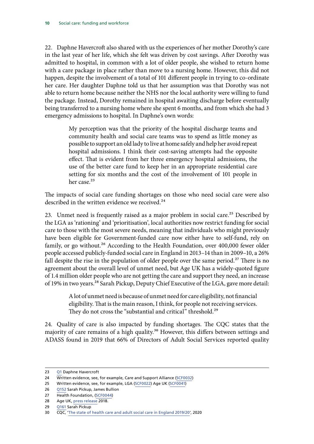22. Daphne Havercroft also shared with us the experiences of her mother Dorothy's care in the last year of her life, which she felt was driven by cost savings. After Dorothy was admitted to hospital, in common with a lot of older people, she wished to return home with a care package in place rather than move to a nursing home. However, this did not happen, despite the involvement of a total of 101 different people in trying to co-ordinate her care. Her daughter Daphne told us that her assumption was that Dorothy was not able to return home because neither the NHS nor the local authority were willing to fund the package. Instead, Dorothy remained in hospital awaiting discharge before eventually being transferred to a nursing home where she spent 6 months, and from which she had 3 emergency admissions to hospital. In Daphne's own words:

> My perception was that the priority of the hospital discharge teams and community health and social care teams was to spend as little money as possible to support an old lady to live at home safely and help her avoid repeat hospital admissions. I think their cost-saving attempts had the opposite effect. That is evident from her three emergency hospital admissions, the use of the better care fund to keep her in an appropriate residential care setting for six months and the cost of the involvement of 101 people in her case.<sup>23</sup>

The impacts of social care funding shortages on those who need social care were also described in the written evidence we received.<sup>24</sup>

23. Unmet need is frequently raised as a major problem in social care.<sup>25</sup> Described by the LGA as 'rationing' and 'prioritisation', local authorities now restrict funding for social care to those with the most severe needs, meaning that individuals who might previously have been eligible for Government-funded care now either have to self-fund, rely on family, or go without.<sup>26</sup> According to the Health Foundation, over 400,000 fewer older people accessed publicly-funded social care in England in 2013–14 than in 2009–10, a 26% fall despite the rise in the population of older people over the same period.<sup>27</sup> There is no agreement about the overall level of unmet need, but Age UK has a widely-quoted figure of 1.4 million older people who are not getting the care and support they need, an increase of 19% in two years.<sup>28</sup> Sarah Pickup, Deputy Chief Executive of the LGA, gave more detail:

> A lot of unmet need is because of unmet need for care eligibility, not financial eligibility. That is the main reason, I think, for people not receiving services. They do not cross the "substantial and critical" threshold.<sup>29</sup>

24. Quality of care is also impacted by funding shortages. The CQC states that the majority of care remains of a high quality.<sup>30</sup> However, this differs between settings and ADASS found in 2019 that 66% of Directors of Adult Social Services reported quality

<sup>23</sup> [Q1](https://committees.parliament.uk//oralevidence/482/html) Daphne Havercroft

<sup>24</sup> Written evidence, see, for example, Care and Support Alliance ([SCF0032](https://committees.parliament.uk/writtenevidence/6295/html))

<sup>25</sup> Written evidence, see, for example, LGA ([SCF0022\)](https://committees.parliament.uk/writtenevidence/6253/html) Age UK ([SCF0041](https://committees.parliament.uk/writtenevidence/6329/html))

<sup>26</sup> [Q152](https://committees.parliament.uk//oralevidence/817/html) Sarah Pickup, James Bullion

<sup>27</sup> Health Foundation, ([SCF0044](https://committees.parliament.uk/writtenevidence/6340/html))

<sup>28</sup> Age UK, [press release](https://www.ageuk.org.uk/latest-news/articles/2018/july/1.4-million-older-people-arent-getting-the-care-and-support-they-need--a-staggering-increase-of-almost-20-in-just-two-years/) 2018.

<sup>29</sup> [Q161](https://committees.parliament.uk//oralevidence/817/html) Sarah Pickup

<sup>30</sup> CQC, '[The state of health care and adult social care in England 2019/20'](https://www.cqc.org.uk/sites/default/files/20201016_stateofcare1920_fullreport.pdf), 2020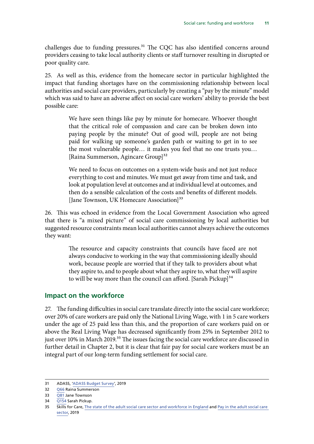<span id="page-12-0"></span>challenges due to funding pressures.<sup>31</sup> The CQC has also identified concerns around providers ceasing to take local authority clients or staff turnover resulting in disrupted or poor quality care.

25. As well as this, evidence from the homecare sector in particular highlighted the impact that funding shortages have on the commissioning relationship between local authorities and social care providers, particularly by creating a "pay by the minute" model which was said to have an adverse affect on social care workers' ability to provide the best possible care:

> We have seen things like pay by minute for homecare. Whoever thought that the critical role of compassion and care can be broken down into paying people by the minute? Out of good will, people are not being paid for walking up someone's garden path or waiting to get in to see the most vulnerable people… it makes you feel that no one trusts you… [Raina Summerson, Agincare Group]<sup>32</sup>

> We need to focus on outcomes on a system-wide basis and not just reduce everything to cost and minutes. We must get away from time and task, and look at population level at outcomes and at individual level at outcomes, and then do a sensible calculation of the costs and benefits of different models. [Jane Townson, UK Homecare Association]<sup>33</sup>

26. This was echoed in evidence from the Local Government Association who agreed that there is "a mixed picture" of social care commissioning by local authorities but suggested resource constraints mean local authorities cannot always achieve the outcomes they want:

> The resource and capacity constraints that councils have faced are not always conducive to working in the way that commissioning ideally should work, because people are worried that if they talk to providers about what they aspire to, and to people about what they aspire to, what they will aspire to will be way more than the council can afford. [Sarah Pickup] $34$

#### **Impact on the workforce**

27. The funding difficulties in social care translate directly into the social care workforce; over 20% of care workers are paid only the National Living Wage, with 1 in 5 care workers under the age of 25 paid less than this, and the proportion of care workers paid on or above the Real Living Wage has decreased significantly from 25% in September 2012 to just over 10% in March 2019.<sup>35</sup> The issues facing the social care workforce are discussed in further detail in Chapter 2, but it is clear that fair pay for social care workers must be an integral part of our long-term funding settlement for social care.

<sup>31</sup> ADASS, ['ADASS Budget Survey](https://www.adass.org.uk/media/7295/adass-budget-survey-report-2019_final.pdf)', 2019

<sup>32</sup> [Q66](https://committees.parliament.uk//oralevidence/552/html) Raina Summerson

<sup>33</sup> [Q81](https://committees.parliament.uk//oralevidence/552/html) Jane Townson

<sup>34</sup> [Q154](https://committees.parliament.uk//oralevidence/817/html) Sarah Pickup.

<sup>35</sup> Skills for Care, [The state of the adult social care sector and workforce in England](https://www.skillsforcare.org.uk/adult-social-care-workforce-data/Workforce-intelligence/documents/State-of-the-adult-social-care-sector/State-of-Report-2019.pdf) and Pay in the adult social care [sector](https://www.skillsforcare.org.uk/adult-social-care-workforce-data/Workforce-intelligence/documents/Pay-in-the-adult-social-care-sector-Sep19.pdf), 2019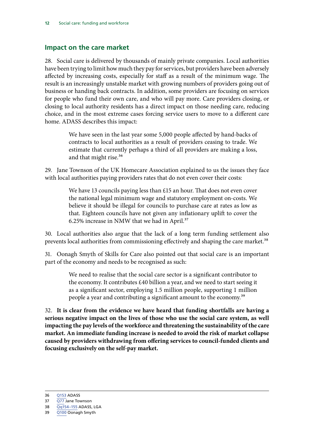### <span id="page-13-0"></span>**Impact on the care market**

28. Social care is delivered by thousands of mainly private companies. Local authorities have been trying to limit how much they pay for services, but providers have been adversely affected by increasing costs, especially for staff as a result of the minimum wage. The result is an increasingly unstable market with growing numbers of providers going out of business or handing back contracts. In addition, some providers are focusing on services for people who fund their own care, and who will pay more. Care providers closing, or closing to local authority residents has a direct impact on those needing care, reducing choice, and in the most extreme cases forcing service users to move to a different care home. ADASS describes this impact:

> We have seen in the last year some 5,000 people affected by hand-backs of contracts to local authorities as a result of providers ceasing to trade. We estimate that currently perhaps a third of all providers are making a loss, and that might rise.<sup>36</sup>

29. Jane Townson of the UK Homecare Association explained to us the issues they face with local authorities paying providers rates that do not even cover their costs:

> We have 13 councils paying less than £15 an hour. That does not even cover the national legal minimum wage and statutory employment on-costs. We believe it should be illegal for councils to purchase care at rates as low as that. Eighteen councils have not given any inflationary uplift to cover the 6.25% increase in NMW that we had in April.<sup>37</sup>

30. Local authorities also argue that the lack of a long term funding settlement also prevents local authorities from commissioning effectively and shaping the care market.<sup>38</sup>

31. Oonagh Smyth of Skills for Care also pointed out that social care is an important part of the economy and needs to be recognised as such:

> We need to realise that the social care sector is a significant contributor to the economy. It contributes £40 billion a year, and we need to start seeing it as a significant sector, employing 1.5 million people, supporting 1 million people a year and contributing a significant amount to the economy.39

32. **It is clear from the evidence we have heard that funding shortfalls are having a serious negative impact on the lives of those who use the social care system, as well impacting the pay levels of the workforce and threatening the sustainability of the care market. An immediate funding increase is needed to avoid the risk of market collapse caused by providers withdrawing from offering services to council-funded clients and focusing exclusively on the self-pay market.**

<sup>37</sup> [Q77](https://committees.parliament.uk//oralevidence/552/html) Jane Townson

<sup>38</sup> [Qq154–155](https://committees.parliament.uk//oralevidence/817/html) ADASS, LGA

<sup>39</sup> [Q100](https://committees.parliament.uk//oralevidence/552/html) Oonagh Smyth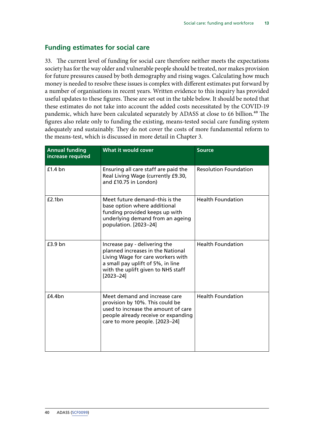### **Funding estimates for social care**

33. The current level of funding for social care therefore neither meets the expectations society has for the way older and vulnerable people should be treated, nor makes provision for future pressures caused by both demography and rising wages. Calculating how much money is needed to resolve these issues is complex with different estimates put forward by a number of organisations in recent years. Written evidence to this inquiry has provided useful updates to these figures. These are set out in the table below. It should be noted that these estimates do not take into account the added costs necessitated by the COVID-19 pandemic, which have been calculated separately by ADASS at close to  $£6$  billion.<sup>40</sup> The figures also relate only to funding the existing, means-tested social care funding system adequately and sustainably. They do not cover the costs of more fundamental reform to the means-test, which is discussed in more detail in Chapter 3.

| <b>Annual funding</b><br>increase required | <b>What it would cover</b>                                                                                                                                                                          | <b>Source</b>                |
|--------------------------------------------|-----------------------------------------------------------------------------------------------------------------------------------------------------------------------------------------------------|------------------------------|
| $£1.4$ bn                                  | Ensuring all care staff are paid the<br>Real Living Wage (currently £9.30,<br>and £10.75 in London)                                                                                                 | <b>Resolution Foundation</b> |
| £2.1bn                                     | Meet future demand-this is the<br>base option where additional<br>funding provided keeps up with<br>underlying demand from an ageing<br>population. [2023-24]                                       | <b>Health Foundation</b>     |
| $£3.9$ bn                                  | Increase pay - delivering the<br>planned increases in the National<br>Living Wage for care workers with<br>a small pay uplift of 5%, in line<br>with the uplift given to NHS staff<br>$[2023 - 24]$ | <b>Health Foundation</b>     |
| f4.4bn                                     | Meet demand and increase care<br>provision by 10%. This could be<br>used to increase the amount of care<br>people already receive or expanding<br>care to more people. [2023-24]                    | <b>Health Foundation</b>     |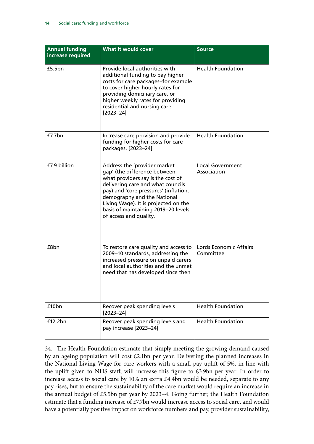| <b>Annual funding</b><br>increase required | What it would cover                                                                                                                                                                                                                                                                                                     | <b>Source</b>                          |
|--------------------------------------------|-------------------------------------------------------------------------------------------------------------------------------------------------------------------------------------------------------------------------------------------------------------------------------------------------------------------------|----------------------------------------|
| £5.5bn                                     | Provide local authorities with<br>additional funding to pay higher<br>costs for care packages-for example<br>to cover higher hourly rates for<br>providing domiciliary care, or<br>higher weekly rates for providing<br>residential and nursing care.<br>$[2023 - 24]$                                                  | <b>Health Foundation</b>               |
| £7.7bn                                     | Increase care provision and provide<br>funding for higher costs for care<br>packages. [2023-24]                                                                                                                                                                                                                         | <b>Health Foundation</b>               |
| £7.9 billion                               | Address the 'provider market<br>gap' (the difference between<br>what providers say is the cost of<br>delivering care and what councils<br>pay) and 'core pressures' (inflation,<br>demography and the National<br>Living Wage). It is projected on the<br>basis of maintaining 2019-20 levels<br>of access and quality. | <b>Local Government</b><br>Association |
| £8bn                                       | To restore care quality and access to<br>2009-10 standards, addressing the<br>increased pressure on unpaid carers<br>and local authorities and the unmet<br>need that has developed since then                                                                                                                          | Lords Economic Affairs<br>Committee    |
| £10bn                                      | Recover peak spending levels<br>$[2023 - 24]$                                                                                                                                                                                                                                                                           | <b>Health Foundation</b>               |
| £12.2bn                                    | Recover peak spending levels and<br>pay increase [2023-24]                                                                                                                                                                                                                                                              | <b>Health Foundation</b>               |

34. The Health Foundation estimate that simply meeting the growing demand caused by an ageing population will cost £2.1bn per year. Delivering the planned increases in the National Living Wage for care workers with a small pay uplift of 5%, in line with the uplift given to NHS staff, will increase this figure to £3.9bn per year. In order to increase access to social care by 10% an extra £4.4bn would be needed, separate to any pay rises, but to ensure the sustainability of the care market would require an increase in the annual budget of £5.5bn per year by 2023–4. Going further, the Health Foundation estimate that a funding increase of £7.7bn would increase access to social care, and would have a potentially positive impact on workforce numbers and pay, provider sustainability,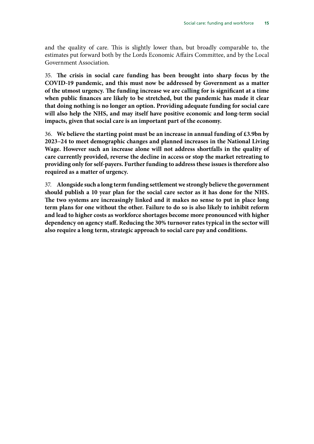and the quality of care. This is slightly lower than, but broadly comparable to, the estimates put forward both by the Lords Economic Affairs Committee, and by the Local Government Association.

35. **The crisis in social care funding has been brought into sharp focus by the COVID-19 pandemic, and this must now be addressed by Government as a matter of the utmost urgency. The funding increase we are calling for is significant at a time when public finances are likely to be stretched, but the pandemic has made it clear that doing nothing is no longer an option. Providing adequate funding for social care will also help the NHS, and may itself have positive economic and long-term social impacts, given that social care is an important part of the economy.**

36. **We believe the starting point must be an increase in annual funding of £3.9bn by 2023–24 to meet demographic changes and planned increases in the National Living Wage. However such an increase alone will not address shortfalls in the quality of care currently provided, reverse the decline in access or stop the market retreating to providing only for self-payers. Further funding to address these issues is therefore also required as a matter of urgency.**

37. **Alongside such a long term funding settlement we strongly believe the government should publish a 10 year plan for the social care sector as it has done for the NHS. The two systems are increasingly linked and it makes no sense to put in place long term plans for one without the other. Failure to do so is also likely to inhibit reform and lead to higher costs as workforce shortages become more pronounced with higher dependency on agency staff. Reducing the 30% turnover rates typical in the sector will also require a long term, strategic approach to social care pay and conditions.**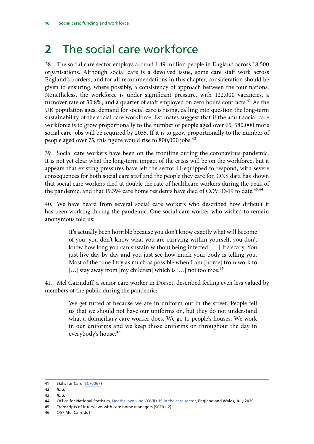## <span id="page-17-0"></span>**2** The social care workforce

38. The social care sector employs around 1.49 million people in England across 18,500 organisations. Although social care is a devolved issue, some care staff work across England's borders, and for all recommendations in this chapter, consideration should be given to ensuring, where possibly, a consistency of approach between the four nations. Nonetheless, the workforce is under significant pressure, with 122,000 vacancies, a turnover rate of 30.8%, and a quarter of staff employed on zero hours contracts.<sup>41</sup> As the UK population ages, demand for social care is rising, calling into question the long-term sustainability of the social care workforce. Estimates suggest that if the adult social care workforce is to grow proportionally to the number of people aged over 65, 580,000 more social care jobs will be required by 2035. If it is to grow proportionally to the number of people aged over 75, this figure would rise to 800,000 jobs.<sup>42</sup>

39. Social care workers have been on the frontline during the coronavirus pandemic. It is not yet clear what the long-term impact of the crisis will be on the workforce, but it appears that existing pressures have left the sector ill-equipped to respond, with severe consequences for both social care staff and the people they care for. ONS data has shown that social care workers died at double the rate of healthcare workers during the peak of the pandemic, and that 19,394 care home residents have died of COVID-19 to date.<sup>43,44</sup>

40. We have heard from several social care workers who described how difficult it has been working during the pandemic. One social care worker who wished to remain anonymous told us:

> It's actually been horrible because you don't know exactly what will become of you, you don't know what you are carrying within yourself, you don't know how long you can sustain without being infected. […] It's scary. You just live day by day and you just see how much your body is telling you. Most of the time I try as much as possible when I am [home] from work to  $[...]$  stay away from [my children] which is  $[...]$  not too nice.<sup>45</sup>

41. Mel Cairnduff, a senior care worker in Dorset, described feeling even less valued by members of the public during the pandemic:

> We get tutted at because we are in uniform out in the street. People tell us that we should not have our uniforms on, but they do not understand what a domiciliary care worker does. We go to people's houses. We work in our uniforms and we keep those uniforms on throughout the day in everybody's house.<sup>46</sup>

46 [Q57](https://committees.parliament.uk//oralevidence/552/html) Mel Cairnduff

<sup>41</sup> Skills for Care ([SCF0067\)](https://committees.parliament.uk/writtenevidence/6736/html)

<sup>42</sup> *Ibid*.

<sup>43</sup> *Ibid*.

<sup>44</sup> Office for National Statistics, [Deaths involving COVID-19 in the care sector,](https://www.ons.gov.uk/peoplepopulationandcommunity/birthsdeathsandmarriages/deaths/articles/deathsinvolvingcovid19inthecaresectorenglandandwales/deathsoccurringupto12june2020andregisteredupto20june2020provisional#deaths-of-recipients-of-domiciliary-care-in-england) England and Wales, July 2020

<sup>45</sup> Transcripts of interviews with care home managers [\(SCF0112\)](https://committees.parliament.uk/writtenevidence/10906/html)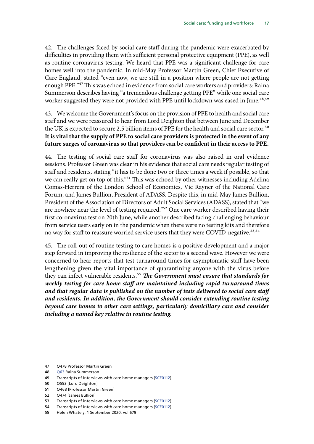42. The challenges faced by social care staff during the pandemic were exacerbated by difficulties in providing them with sufficient personal protective equipment (PPE), as well as routine coronavirus testing. We heard that PPE was a significant challenge for care homes well into the pandemic. In mid-May Professor Martin Green, Chief Executive of Care England, stated "even now, we are still in a position where people are not getting enough PPE."47 This was echoed in evidence from social care workers and providers: Raina Summerson describes having "a tremendous challenge getting PPE" while one social care worker suggested they were not provided with PPE until lockdown was eased in June.<sup>48,49</sup>

43. We welcome the Government's focus on the provision of PPE to health and social care staff and we were reassured to hear from Lord Deighton that between June and December the UK is expected to secure 2.5 billion items of PPE for the health and social care sector.<sup>50</sup> **It is vital that the supply of PPE to social care providers is protected in the event of any future surges of coronavirus so that providers can be confident in their access to PPE.**

44. The testing of social care staff for coronavirus was also raised in oral evidence sessions. Professor Green was clear in his evidence that social care needs regular testing of staff and residents, stating "it has to be done two or three times a week if possible, so that we can really get on top of this."<sup>51</sup> This was echoed by other witnesses including Adelina Comas-Herrera of the London School of Economics, Vic Rayner of the National Care Forum, and James Bullion, President of ADASS. Despite this, in mid-May James Bullion, President of the Association of Directors of Adult Social Services (ADASS), stated that "we are nowhere near the level of testing required."52 One care worker described having their first coronavirus test on 20th June, while another described facing challenging behaviour from service users early on in the pandemic when there were no testing kits and therefore no way for staff to reassure worried service users that they were COVID-negative.<sup>53,54</sup>

45. The roll-out of routine testing to care homes is a positive development and a major step forward in improving the resilience of the sector to a second wave. However we were concerned to hear reports that test turnaround times for asymptomatic staff have been lengthening given the vital importance of quarantining anyone with the virus before they can infect vulnerable residents.<sup>55</sup> *The Government must ensure that standards for weekly testing for care home staff are maintained including rapid turnaround times and that regular data is published on the number of tests delivered to social care staff and residents. In addition, the Government should consider extending routine testing*  beyond care homes to other care settings, particularly domiciliary care and consider *including a named key relative in routine testing.*

<sup>47</sup> Q478 Professor Martin Green

<sup>48</sup> [Q63](https://committees.parliament.uk//oralevidence/552/html) Raina Summerson

<sup>49</sup> Transcripts of interviews with care home managers [\(SCF0112\)](https://committees.parliament.uk/writtenevidence/10906/html)

<sup>50</sup> Q553 [Lord Deighton]

<sup>51</sup> Q468 [Professor Martin Green]

<sup>52</sup> Q474 [James Bullion]

<sup>53</sup> Transcripts of interviews with care home managers [\(SCF0112\)](https://committees.parliament.uk/writtenevidence/10906/html)

<sup>54</sup> Transcripts of interviews with care home managers [\(SCF0112\)](https://committees.parliament.uk/writtenevidence/10906/html)

<sup>55</sup> Helen Whately, 1 September 2020, vol 679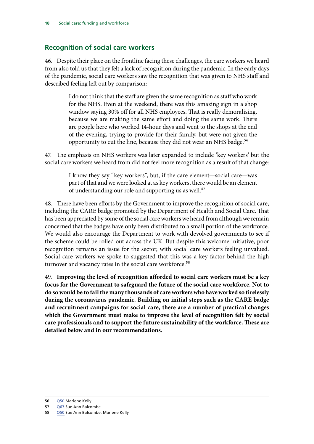## <span id="page-19-0"></span>**Recognition of social care workers**

46. Despite their place on the frontline facing these challenges, the care workers we heard from also told us that they felt a lack of recognition during the pandemic. In the early days of the pandemic, social care workers saw the recognition that was given to NHS staff and described feeling left out by comparison:

> I do not think that the staff are given the same recognition as staff who work for the NHS. Even at the weekend, there was this amazing sign in a shop window saying 30% off for all NHS employees. That is really demoralising, because we are making the same effort and doing the same work. There are people here who worked 14-hour days and went to the shops at the end of the evening, trying to provide for their family, but were not given the opportunity to cut the line, because they did not wear an NHS badge.<sup>56</sup>

47. The emphasis on NHS workers was later expanded to include 'key workers' but the social care workers we heard from did not feel more recognition as a result of that change:

> I know they say "key workers", but, if the care element—social care—was part of that and we were looked at as key workers, there would be an element of understanding our role and supporting us as well.<sup>57</sup>

48. There have been efforts by the Government to improve the recognition of social care, including the CARE badge promoted by the Department of Health and Social Care. That has been appreciated by some of the social care workers we heard from although we remain concerned that the badges have only been distributed to a small portion of the workforce. We would also encourage the Department to work with devolved governments to see if the scheme could be rolled out across the UK. But despite this welcome initiative, poor recognition remains an issue for the sector, with social care workers feeling unvalued. Social care workers we spoke to suggested that this was a key factor behind the high turnover and vacancy rates in the social care workforce.<sup>58</sup>

49. **Improving the level of recognition afforded to social care workers must be a key focus for the Government to safeguard the future of the social care workforce. Not to do so would be to fail the many thousands of care workers who have worked so tirelessly during the coronavirus pandemic. Building on initial steps such as the CARE badge and recruitment campaigns for social care, there are a number of practical changes which the Government must make to improve the level of recognition felt by social care professionals and to support the future sustainability of the workforce. These are detailed below and in our recommendations.**

<sup>56</sup> [Q50](https://committees.parliament.uk//oralevidence/552/html) Marlene Kelly

<sup>57</sup> [Q67](https://committees.parliament.uk//oralevidence/552/html) Sue Ann Balcombe

<sup>58</sup> [Q50](https://committees.parliament.uk//oralevidence/552/html) Sue Ann Balcombe, Marlene Kelly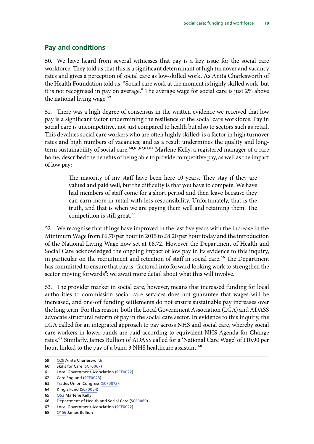## <span id="page-20-0"></span>**Pay and conditions**

50. We have heard from several witnesses that pay is a key issue for the social care workforce. They told us that this is a significant determinant of high turnover and vacancy rates and gives a perception of social care as low-skilled work. As Anita Charlesworth of the Health Foundation told us, "Social care work at the moment is highly skilled work, but it is not recognised in pay on average." The average wage for social care is just 2% above the national living wage.<sup>59</sup>

51. There was a high degree of consensus in the written evidence we received that low pay is a significant factor undermining the resilience of the social care workforce. Pay in social care is uncompetitive, not just compared to health but also to sectors such as retail. This devalues social care workers who are often highly skilled; is a factor in high turnover rates and high numbers of vacancies; and as a result undermines the quality and longterm sustainability of social care.<sup>60,61,62,63,64</sup> Marlene Kelly, a registered manager of a care home, described the benefits of being able to provide competitive pay, as well as the impact of low pay:

> The majority of my staff have been here 10 years. They stay if they are valued and paid well, but the difficulty is that you have to compete. We have had members of staff come for a short period and then leave because they can earn more in retail with less responsibility. Unfortunately, that is the truth, and that is when we are paying them well and retaining them. The competition is still great.<sup>65</sup>

52. We recognise that things have improved in the last five years with the increase in the Minimum Wage from £6.70 per hour in 2015 to £8.20 per hour today and the introduction of the National Living Wage now set at £8.72. However the Department of Health and Social Care acknowledged the ongoing impact of low pay in its evidence to this inquiry, in particular on the recruitment and retention of staff in social care.<sup>66</sup> The Department has committed to ensure that pay is "factored into forward looking work to strengthen the sector moving forwards": we await more detail about what this will involve.

53. The provider market in social care, however, means that increased funding for local authorities to commission social care services does not guarantee that wages will be increased, and one-off funding settlements do not ensure sustainable pay increases over the long term. For this reason, both the Local Government Association (LGA) and ADASS advocate structural reform of pay in the social care sector. In evidence to this inquiry, the LGA called for an integrated approach to pay across NHS and social care, whereby social care workers in lower bands are paid according to equivalent NHS Agenda for Change rates.67 Similarly, James Bullion of ADASS called for a 'National Care Wage' of £10.90 per hour, linked to the pay of a band 3 NHS healthcare assistant.<sup>68</sup>

<sup>59</sup> [Q29](https://committees.parliament.uk//oralevidence/482/html) Anita Charlesworth

<sup>60</sup> Skills for Care ([SCF0067\)](https://committees.parliament.uk/writtenevidence/6736/html)

<sup>61</sup> Local Government Association ([SCF0022](https://committees.parliament.uk/writtenevidence/6253/html))

<sup>62</sup> Care England ([SCF0023\)](https://committees.parliament.uk/writtenevidence/6260/html)

<sup>63</sup> Trades Union Congress [\(SCF0072\)](https://committees.parliament.uk/writtenevidence/8516/html)

<sup>64</sup> King's Fund ([SCF0064\)](https://committees.parliament.uk/writtenevidence/6563/html)

<sup>65</sup> [Q53](https://committees.parliament.uk//oralevidence/552/html) Marlene Kelly

<sup>66</sup> Department of Health and Social Care [\(SCF0069](https://committees.parliament.uk/writtenevidence/7686/html))

<sup>67</sup> Local Government Association ([SCF0022](https://committees.parliament.uk/writtenevidence/6253/html))

<sup>68</sup> [Q156](https://committees.parliament.uk//oralevidence/817/html) James Bullion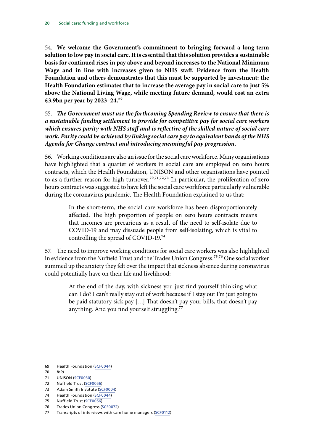54. **We welcome the Government's commitment to bringing forward a long-term solution to low pay in social care. It is essential that this solution provides a sustainable basis for continued rises in pay above and beyond increases to the National Minimum Wage and in line with increases given to NHS staff. Evidence from the Health Foundation and others demonstrates that this must be supported by investment: the Health Foundation estimates that to increase the average pay in social care to just 5% above the National Living Wage, while meeting future demand, would cost an extra £3.9bn per year by 2023–24.**69

55. *The Government must use the forthcoming Spending Review to ensure that there is a sustainable funding settlement to provide for competitive pay for social care workers which ensures parity with NHS staff and is reflective of the skilled nature of social care work. Parity could be achieved by linking social care pay to equivalent bands of the NHS Agenda for Change contract and introducing meaningful pay progression.*

56. Working conditions are also an issue for the social care workforce. Many organisations have highlighted that a quarter of workers in social care are employed on zero hours contracts, which the Health Foundation, UNISON and other organisations have pointed to as a further reason for high turnover.<sup>70,71,72,73</sup> In particular, the proliferation of zero hours contracts was suggested to have left the social care workforce particularly vulnerable during the coronavirus pandemic. The Health Foundation explained to us that:

> In the short-term, the social care workforce has been disproportionately affected. The high proportion of people on zero hours contracts means that incomes are precarious as a result of the need to self-isolate due to COVID-19 and may dissuade people from self-isolating, which is vital to controlling the spread of COVID-19.74

57. The need to improve working conditions for social care workers was also highlighted in evidence from the Nuffield Trust and the Trades Union Congress.75, 76 One social worker summed up the anxiety they felt over the impact that sickness absence during coronavirus could potentially have on their life and livelihood:

> At the end of the day, with sickness you just find yourself thinking what can I do? I can't really stay out of work because if I stay out I'm just going to be paid statutory sick pay […] That doesn't pay your bills, that doesn't pay anything. And you find yourself struggling.<sup>77</sup>

- 72 Nuffield Trust ([SCF0056\)](https://committees.parliament.uk/writtenevidence/6396/html)
- 73 Adam Smith Institute [\(SCF0004](https://committees.parliament.uk/writtenevidence/964/html))
- 74 Health Foundation ([SCF0044\)](https://committees.parliament.uk/writtenevidence/6340/html)
- 75 Nuffield Trust ([SCF0056\)](https://committees.parliament.uk/writtenevidence/6396/html)
- 76 Trades Union Congress [\(SCF0072\)](https://committees.parliament.uk/writtenevidence/8516/html)
- 77 Transcripts of interviews with care home managers [\(SCF0112\)](https://committees.parliament.uk/writtenevidence/10906/html)

<sup>69</sup> Health Foundation ([SCF0044\)](https://committees.parliament.uk/writtenevidence/6340/html)

<sup>70</sup> *Ibid*.

<sup>71</sup> UNISON ([SCF0030\)](https://committees.parliament.uk/writtenevidence/6289/html)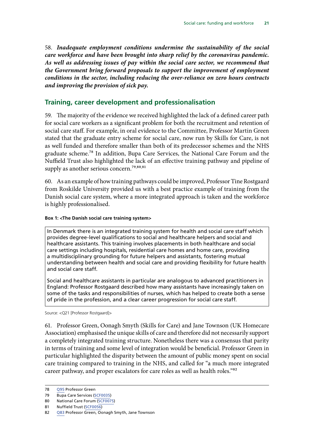<span id="page-22-0"></span>58. *Inadequate employment conditions undermine the sustainability of the social care workforce and have been brought into sharp relief by the coronavirus pandemic. As well as addressing issues of pay within the social care sector, we recommend that the Government bring forward proposals to support the improvement of employment conditions in the sector, including reducing the over-reliance on zero hours contracts and improving the provision of sick pay.*

#### **Training, career development and professionalisation**

59. The majority of the evidence we received highlighted the lack of a defined career path for social care workers as a significant problem for both the recruitment and retention of social care staff. For example, in oral evidence to the Committee, Professor Martin Green stated that the graduate entry scheme for social care, now run by Skills for Care, is not as well funded and therefore smaller than both of its predecessor schemes and the NHS graduate scheme.78 In addition, Bupa Care Services, the National Care Forum and the Nuffield Trust also highlighted the lack of an effective training pathway and pipeline of supply as another serious concern.<sup>79,80,81</sup>

60. As an example of how training pathways could be improved, Professor Tine Rostgaard from Roskilde University provided us with a best practice example of training from the Danish social care system, where a more integrated approach is taken and the workforce is highly professionalised.

#### **Box 1: <The Danish social care training system>**

In Denmark there is an integrated training system for health and social care staff which provides degree-level qualifications to social and healthcare helpers and social and healthcare assistants. This training involves placements in both healthcare and social care settings including hospitals, residential care homes and home care, providing a multidisciplinary grounding for future helpers and assistants, fostering mutual understanding between health and social care and providing flexibility for future health and social care staff.

Social and healthcare assistants in particular are analogous to advanced practitioners in England: Professor Rostgaard described how many assistants have increasingly taken on some of the tasks and responsibilities of nurses, which has helped to create both a sense of pride in the profession, and a clear career progression for social care staff.

Source: <Q21 [Professor Rostgaard]>

61. Professor Green, Oonagh Smyth (Skills for Care) and Jane Townson (UK Homecare Association) emphasised the unique skills of care and therefore did not necessarily support a completely integrated training structure. Nonetheless there was a consensus that parity in terms of training and some level of integration would be beneficial. Professor Green in particular highlighted the disparity between the amount of public money spent on social care training compared to training in the NHS, and called for "a much more integrated career pathway, and proper escalators for care roles as well as health roles."<sup>82</sup>

<sup>78</sup> [Q95](https://committees.parliament.uk//oralevidence/552/html) Professor Green

<sup>79</sup> Bupa Care Services [\(SCF0035\)](https://committees.parliament.uk/writtenevidence/6307/html)

<sup>80</sup> National Care Forum [\(SCF0075\)](https://committees.parliament.uk/writtenevidence/8791/html)

<sup>81</sup> Nuffield Trust ([SCF0056\)](https://committees.parliament.uk/writtenevidence/6396/html)

<sup>82</sup> [Q83](https://committees.parliament.uk//oralevidence/552/html) Professor Green, Oonagh Smyth, Jane Townson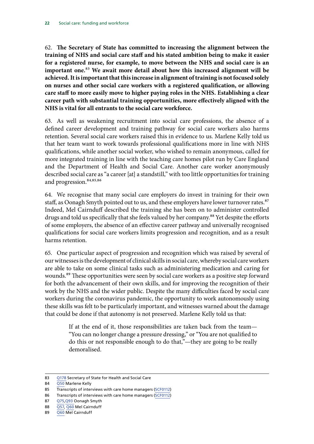62. **The Secretary of State has committed to increasing the alignment between the training of NHS and social care staff and his stated ambition being to make it easier for a registered nurse, for example, to move between the NHS and social care is an important one.**83 **We await more detail about how this increased alignment will be achieved. It is important that this increase in alignment of training is not focused solely on nurses and other social care workers with a registered qualification, or allowing care staff to more easily move to higher paying roles in the NHS. Establishing a clear career path with substantial training opportunities, more effectively aligned with the NHS is vital for all entrants to the social care workforce.**

63. As well as weakening recruitment into social care professions, the absence of a defined career development and training pathway for social care workers also harms retention. Several social care workers raised this in evidence to us. Marlene Kelly told us that her team want to work towards professional qualifications more in line with NHS qualifications, while another social worker, who wished to remain anonymous, called for more integrated training in line with the teaching care homes pilot run by Care England and the Department of Health and Social Care. Another care worker anonymously described social care as "a career [at] a standstill," with too little opportunities for training and progression.<sup>84,85,86</sup>

64. We recognise that many social care employers do invest in training for their own staff, as Oonagh Smyth pointed out to us, and these employers have lower turnover rates.<sup>87</sup> Indeed, Mel Cairnduff described the training she has been on to administer controlled drugs and told us specifically that she feels valued by her company.<sup>88</sup> Yet despite the efforts of some employers, the absence of an effective career pathway and universally recognised qualifications for social care workers limits progression and recognition, and as a result harms retention.

65. One particular aspect of progression and recognition which was raised by several of our witnesses is the development of clinical skills in social care, whereby social care workers are able to take on some clinical tasks such as administering medication and caring for wounds.<sup>89</sup> These opportunities were seen by social care workers as a positive step forward for both the advancement of their own skills, and for improving the recognition of their work by the NHS and the wider public. Despite the many difficulties faced by social care workers during the coronavirus pandemic, the opportunity to work autonomously using these skills was felt to be particularly important, and witnesses warned about the damage that could be done if that autonomy is not preserved. Marlene Kelly told us that:

> If at the end of it, those responsibilities are taken back from the team— "You can no longer change a pressure dressing," or "You are not qualified to do this or not responsible enough to do that,"—they are going to be really demoralised.

<sup>83</sup> [Q178](https://committees.parliament.uk//oralevidence/817/html) Secretary of State for Health and Social Care

<sup>84</sup> [Q50](https://committees.parliament.uk//oralevidence/552/html) Marlene Kelly

<sup>85</sup> Transcripts of interviews with care home managers [\(SCF0112\)](https://committees.parliament.uk/writtenevidence/10906/html)

<sup>86</sup> Transcripts of interviews with care home managers [\(SCF0112\)](https://committees.parliament.uk/writtenevidence/10906/html)

<sup>87</sup> [Q75,Q93](https://committees.parliament.uk//oralevidence/552/html) Oonagh Smyth

<sup>88</sup> [Q57,](https://committees.parliament.uk//oralevidence/552/html) [Q60](https://committees.parliament.uk//oralevidence/552/html) Mel Cairnduff

<sup>89</sup> [Q60](https://committees.parliament.uk//oralevidence/552/html) Mel Cairnduff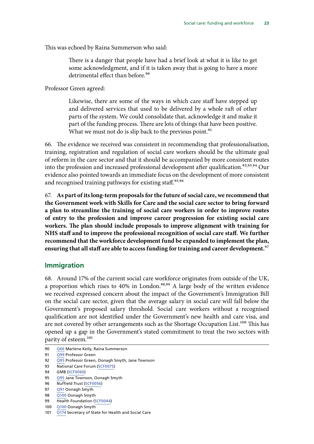<span id="page-24-0"></span>This was echoed by Raina Summerson who said:

There is a danger that people have had a brief look at what it is like to get some acknowledgment, and if it is taken away that is going to have a more detrimental effect than before.<sup>90</sup>

Professor Green agreed:

Likewise, there are some of the ways in which care staff have stepped up and delivered services that used to be delivered by a whole raft of other parts of the system. We could consolidate that, acknowledge it and make it part of the funding process. There are lots of things that have been positive. What we must not do is slip back to the previous point. $91$ 

66. The evidence we received was consistent in recommending that professionalisation, training, registration and regulation of social care workers should be the ultimate goal of reform in the care sector and that it should be accompanied by more consistent routes into the profession and increased professional development after qualification.<sup>92,93,94</sup> Our evidence also pointed towards an immediate focus on the development of more consistent and recognised training pathways for existing staff.<sup>95,96</sup>

67. **As part of its long-term proposals for the future of social care, we recommend that the Government work with Skills for Care and the social care sector to bring forward a plan to streamline the training of social care workers in order to improve routes of entry to the profession and improve career progression for existing social care workers. The plan should include proposals to improve alignment with training for NHS staff and to improve the professional recognition of social care staff. We further recommend that the workforce development fund be expanded to implement the plan, ensuring that all staff are able to access funding for training and career development.**97

#### **Immigration**

68. Around 17% of the current social care workforce originates from outside of the UK, a proportion which rises to 40% in London.<sup>98,99</sup> A large body of the written evidence we received expressed concern about the impact of the Government's Immigration Bill on the social care sector, given that the average salary in social care will fall below the Government's proposed salary threshold. Social care workers without a recognised qualification are not identified under the Government's new health and care visa, and are not covered by other arrangements such as the Shortage Occupation List.<sup>100</sup> This has opened up a gap in the Government's stated commitment to treat the two sectors with parity of esteem.<sup>101</sup>

- 90 [Q66](https://committees.parliament.uk//oralevidence/552/html) Marlene Kelly, Raina Summerson
- 91 [Q99](https://committees.parliament.uk//oralevidence/552/html) Professor Green

93 National Care Forum [\(SCF0075\)](https://committees.parliament.uk/writtenevidence/8791/html)

<sup>92</sup> [Q95](https://committees.parliament.uk//oralevidence/552/html) Professor Green, Oonagh Smyth, Jane Townson

<sup>94</sup> GMB ([SCF0060\)](https://committees.parliament.uk/writtenevidence/6463/html)

<sup>95</sup> [Q95](https://committees.parliament.uk//oralevidence/552/html) Jane Townson, Oonagh Smyth

<sup>96</sup> Nuffield Trust ([SCF0056\)](https://committees.parliament.uk/writtenevidence/6396/html)

<sup>97</sup> [Q91](https://committees.parliament.uk//oralevidence/552/html) Oonagh Smyth

<sup>98</sup> [Q100](https://committees.parliament.uk//oralevidence/552/html) Oonagh Smyth

<sup>99</sup> Health Foundation ([SCF0044\)](https://committees.parliament.uk/writtenevidence/6340/html)

<sup>100</sup> [Q100](https://committees.parliament.uk//oralevidence/552/html) Oonagh Smyth

<sup>101</sup> [Q174](https://committees.parliament.uk//oralevidence/817/html) Secretary of State for Health and Social Care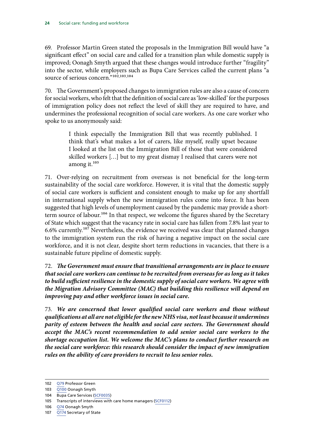69. Professor Martin Green stated the proposals in the Immigration Bill would have "a significant effect" on social care and called for a transition plan while domestic supply is improved; Oonagh Smyth argued that these changes would introduce further "fragility" into the sector, while employers such as Bupa Care Services called the current plans "a source of serious concern."<sup>102,103,104</sup>

70. The Government's proposed changes to immigration rules are also a cause of concern for social workers, who felt that the definition of social care as 'low-skilled' for the purposes of immigration policy does not reflect the level of skill they are required to have, and undermines the professional recognition of social care workers. As one care worker who spoke to us anonymously said:

> I think especially the Immigration Bill that was recently published. I think that's what makes a lot of carers, like myself, really upset because I looked at the list on the Immigration Bill of those that were considered skilled workers […] but to my great dismay I realised that carers were not among it.105

71. Over-relying on recruitment from overseas is not beneficial for the long-term sustainability of the social care workforce. However, it is vital that the domestic supply of social care workers is sufficient and consistent enough to make up for any shortfall in international supply when the new immigration rules come into force. It has been suggested that high levels of unemployment caused by the pandemic may provide a shortterm source of labour.<sup>106</sup> In that respect, we welcome the figures shared by the Secretary of State which suggest that the vacancy rate in social care has fallen from 7.8% last year to 6.6% currently.107 Nevertheless, the evidence we received was clear that planned changes to the immigration system run the risk of having a negative impact on the social care workforce, and it is not clear, despite short term reductions in vacancies, that there is a sustainable future pipeline of domestic supply.

72. *The Government must ensure that transitional arrangements are in place to ensure that social care workers can continue to be recruited from overseas for as long as it takes to build sufficient resilience in the domestic supply of social care workers. We agree with the Migration Advisory Committee (MAC) that building this resilience will depend on improving pay and other workforce issues in social care.*

73. *We are concerned that lower qualified social care workers and those without qualifications at all are not eligible for the new NHS visa, not least because it undermines parity of esteem between the health and social care sectors. The Government should accept the MAC's recent recommendation to add senior social care workers to the shortage occupation list. We welcome the MAC's plans to conduct further research on the social care workforce: this research should consider the impact of new immigration rules on the ability of care providers to recruit to less senior roles.*

106 [Q74](https://committees.parliament.uk//oralevidence/552/html) Oonagh Smyth

<sup>102</sup> O79 Professor Green

<sup>103</sup> [Q100](https://committees.parliament.uk//oralevidence/552/html) Oonagh Smyth

<sup>104</sup> Bupa Care Services [\(SCF0035\)](https://committees.parliament.uk/writtenevidence/6307/html)

<sup>105</sup> Transcripts of interviews with care home managers [\(SCF0112\)](https://committees.parliament.uk/writtenevidence/10906/html)

<sup>107</sup> [Q174](https://committees.parliament.uk//oralevidence/817/html) Secretary of State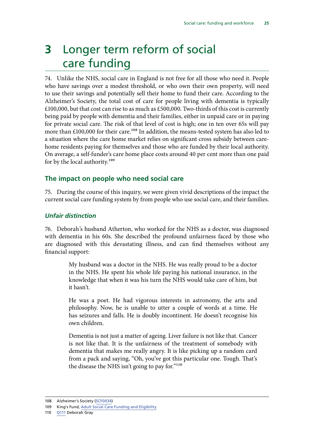## <span id="page-26-0"></span>**3** Longer term reform of social care funding

74. Unlike the NHS, social care in England is not free for all those who need it. People who have savings over a modest threshold, or who own their own property, will need to use their savings and potentially sell their home to fund their care. According to the Alzheimer's Society, the total cost of care for people living with dementia is typically £100,000, but that cost can rise to as much as £500,000. Two-thirds of this cost is currently being paid by people with dementia and their families, either in unpaid care or in paying for private social care. The risk of that level of cost is high; one in ten over 65s will pay more than £100,000 for their care.<sup>108</sup> In addition, the means-tested system has also led to a situation where the care home market relies on significant cross subsidy between carehome residents paying for themselves and those who are funded by their local authority. On average, a self-funder's care home place costs around 40 per cent more than one paid for by the local authority.109

### **The impact on people who need social care**

75. During the course of this inquiry, we were given vivid descriptions of the impact the current social care funding system by from people who use social care, and their families.

### *Unfair distinction*

76. Deborah's husband Atherton, who worked for the NHS as a doctor, was diagnosed with dementia in his 60s. She described the profound unfairness faced by those who are diagnosed with this devastating illness, and can find themselves without any financial support:

> My husband was a doctor in the NHS. He was really proud to be a doctor in the NHS. He spent his whole life paying his national insurance, in the knowledge that when it was his turn the NHS would take care of him, but it hasn't.

> He was a poet. He had vigorous interests in astronomy, the arts and philosophy. Now, he is unable to utter a couple of words at a time. He has seizures and falls. He is doubly incontinent. He doesn't recognise his own children.

> Dementia is not just a matter of ageing. Liver failure is not like that. Cancer is not like that. It is the unfairness of the treatment of somebody with dementia that makes me really angry. It is like picking up a random card from a pack and saying, "Oh, you've got this particular one. Tough. That's the disease the NHS isn't going to pay for."110

110 [Q111](https://committees.parliament.uk//oralevidence/706/html) Deborah Gray

<sup>108</sup> Alzheimer's Society ([SCF0034\)](https://committees.parliament.uk/writtenevidence/6299/html)

<sup>109</sup> King's Fund, [Adult Social Care Funding and Eligibility](https://www.kingsfund.org.uk/projects/positions/adult-social-care-funding-and-eligibility)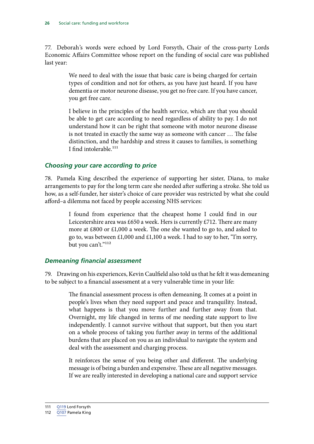<span id="page-27-0"></span>77. Deborah's words were echoed by Lord Forsyth, Chair of the cross-party Lords Economic Affairs Committee whose report on the funding of social care was published last year:

> We need to deal with the issue that basic care is being charged for certain types of condition and not for others, as you have just heard. If you have dementia or motor neurone disease, you get no free care. If you have cancer, you get free care.

> I believe in the principles of the health service, which are that you should be able to get care according to need regardless of ability to pay. I do not understand how it can be right that someone with motor neurone disease is not treated in exactly the same way as someone with cancer … The false distinction, and the hardship and stress it causes to families, is something I find intolerable.<sup>111</sup>

#### *Choosing your care according to price*

78. Pamela King described the experience of supporting her sister, Diana, to make arrangements to pay for the long term care she needed after suffering a stroke. She told us how, as a self-funder, her sister's choice of care provider was restricted by what she could afford–a dilemma not faced by people accessing NHS services:

> I found from experience that the cheapest home I could find in our Leicestershire area was £650 a week. Hers is currently £712. There are many more at £800 or £1,000 a week. The one she wanted to go to, and asked to go to, was between £1,000 and £1,100 a week. I had to say to her, "I'm sorry, but you can't."<sup>112</sup>

#### *Demeaning financial assessment*

79. Drawing on his experiences, Kevin Caulfield also told us that he felt it was demeaning to be subject to a financial assessment at a very vulnerable time in your life:

> The financial assessment process is often demeaning. It comes at a point in people's lives when they need support and peace and tranquility. Instead, what happens is that you move further and further away from that. Overnight, my life changed in terms of me needing state support to live independently. I cannot survive without that support, but then you start on a whole process of taking you further away in terms of the additional burdens that are placed on you as an individual to navigate the system and deal with the assessment and charging process.

> It reinforces the sense of you being other and different. The underlying message is of being a burden and expensive. These are all negative messages. If we are really interested in developing a national care and support service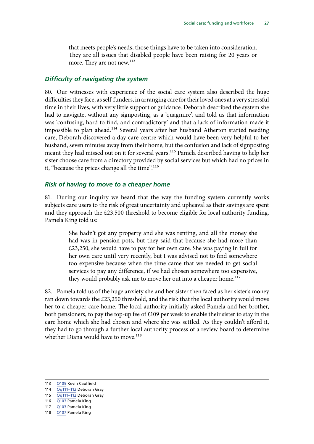<span id="page-28-0"></span>that meets people's needs, those things have to be taken into consideration. They are all issues that disabled people have been raising for 20 years or more. They are not new.<sup>113</sup>

#### *Difficulty of navigating the system*

80. Our witnesses with experience of the social care system also described the huge difficulties they face, as self-funders, in arranging care for their loved ones at a very stressful time in their lives, with very little support or guidance. Deborah described the system she had to navigate, without any signposting, as a 'quagmire', and told us that information was 'confusing, hard to find, and contradictory' and that a lack of information made it impossible to plan ahead.<sup>114</sup> Several years after her husband Atherton started needing care, Deborah discovered a day care centre which would have been very helpful to her husband, seven minutes away from their home, but the confusion and lack of signposting meant they had missed out on it for several years.115 Pamela described having to help her sister choose care from a directory provided by social services but which had no prices in it, "because the prices change all the time".<sup>116</sup>

#### *Risk of having to move to a cheaper home*

81. During our inquiry we heard that the way the funding system currently works subjects care users to the risk of great uncertainty and upheaval as their savings are spent and they approach the  $£23,500$  threshold to become eligible for local authority funding. Pamela King told us:

> She hadn't got any property and she was renting, and all the money she had was in pension pots, but they said that because she had more than £23,250, she would have to pay for her own care. She was paying in full for her own care until very recently, but I was advised not to find somewhere too expensive because when the time came that we needed to get social services to pay any difference, if we had chosen somewhere too expensive, they would probably ask me to move her out into a cheaper home.<sup>117</sup>

82. Pamela told us of the huge anxiety she and her sister then faced as her sister's money ran down towards the £23,250 threshold, and the risk that the local authority would move her to a cheaper care home. The local authority initially asked Pamela and her brother, both pensioners, to pay the top-up fee of £109 per week to enable their sister to stay in the care home which she had chosen and where she was settled. As they couldn't afford it, they had to go through a further local authority process of a review board to determine whether Diana would have to move.<sup>118</sup>

<sup>113</sup> [Q109](https://committees.parliament.uk//oralevidence/706/html) Kevin Caulfield

<sup>114</sup> Qq111-112 Deborah Gray

<sup>115</sup> Qq111-112 Deborah Gray

<sup>116</sup> [Q103](https://committees.parliament.uk//oralevidence/706/html) Pamela King

<sup>117</sup> [Q103](https://committees.parliament.uk//oralevidence/706/html) Pamela King

<sup>118</sup> [Q107](https://committees.parliament.uk//oralevidence/706/html) Pamela King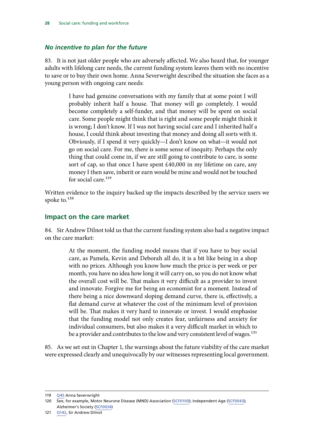#### <span id="page-29-0"></span>*No incentive to plan for the future*

83. It is not just older people who are adversely affected. We also heard that, for younger adults with lifelong care needs, the current funding system leaves them with no incentive to save or to buy their own home. Anna Severwright described the situation she faces as a young person with ongoing care needs:

> I have had genuine conversations with my family that at some point I will probably inherit half a house. That money will go completely. I would become completely a self-funder, and that money will be spent on social care. Some people might think that is right and some people might think it is wrong; I don't know. If I was not having social care and I inherited half a house, I could think about investing that money and doing all sorts with it. Obviously, if I spend it very quickly—I don't know on what—it would not go on social care. For me, there is some sense of inequity. Perhaps the only thing that could come in, if we are still going to contribute to care, is some sort of cap, so that once I have spent £40,000 in my lifetime on care, any money I then save, inherit or earn would be mine and would not be touched for social care  $^{119}$

Written evidence to the inquiry backed up the impacts described by the service users we spoke to.<sup>120</sup>

#### **Impact on the care market**

84. Sir Andrew Dilnot told us that the current funding system also had a negative impact on the care market:

> At the moment, the funding model means that if you have to buy social care, as Pamela, Kevin and Deborah all do, it is a bit like being in a shop with no prices. Although you know how much the price is per week or per month, you have no idea how long it will carry on, so you do not know what the overall cost will be. That makes it very difficult as a provider to invest and innovate. Forgive me for being an economist for a moment. Instead of there being a nice downward sloping demand curve, there is, effectively, a flat demand curve at whatever the cost of the minimum level of provision will be. That makes it very hard to innovate or invest. I would emphasise that the funding model not only creates fear, unfairness and anxiety for individual consumers, but also makes it a very difficult market in which to be a provider and contributes to the low and very consistent level of wages.<sup>121</sup>

85. As we set out in Chapter 1, the warnings about the future viability of the care market were expressed clearly and unequivocally by our witnesses representing local government.

<sup>119</sup> [Q45](https://committees.parliament.uk//oralevidence/482/html) Anna Severwright

<sup>120</sup> See, for example, Motor Neurone Disease (MND) Association [\(SCF0100](https://committees.parliament.uk/writtenevidence/9550/html)); Independent Age ([SCF0043](https://committees.parliament.uk/writtenevidence/6337/html)); Alzheimer's Society ([SCF0034\)](https://committees.parliament.uk/writtenevidence/6299/html)

<sup>121</sup> [Q142,](https://committees.parliament.uk//oralevidence/706/html) Sir Andrew Dilnot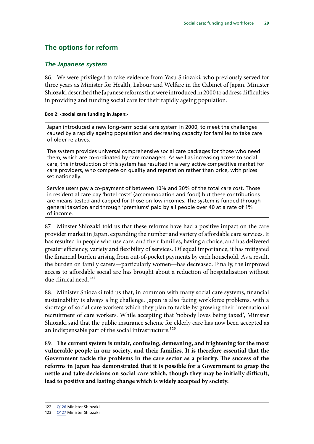## <span id="page-30-0"></span>**The options for reform**

#### *The Japanese system*

86. We were privileged to take evidence from Yasu Shiozaki, who previously served for three years as Minister for Health, Labour and Welfare in the Cabinet of Japan. Minister Shiozaki described the Japanese reforms that were introduced in 2000 to address difficulties in providing and funding social care for their rapidly ageing population.

#### **Box 2: <social care funding in Japan>**

Japan introduced a new long-term social care system in 2000, to meet the challenges caused by a rapidly ageing population and decreasing capacity for families to take care of older relatives.

The system provides universal comprehensive social care packages for those who need them, which are co-ordinated by care managers. As well as increasing access to social care, the introduction of this system has resulted in a very active competitive market for care providers, who compete on quality and reputation rather than price, with prices set nationally.

Service users pay a co-payment of between 10% and 30% of the total care cost. Those in residential care pay 'hotel costs' (accommodation and food) but these contributions are means-tested and capped for those on low incomes. The system is funded through general taxation and through 'premiums' paid by all people over 40 at a rate of 1% of income.

87. Minster Shiozaki told us that these reforms have had a positive impact on the care provider market in Japan, expanding the number and variety of affordable care services. It has resulted in people who use care, and their families, having a choice, and has delivered greater efficiency, variety and flexibility of services. Of equal importance, it has mitigated the financial burden arising from out-of-pocket payments by each household. As a result, the burden on family carers—particularly women—has decreased. Finally, the improved access to affordable social are has brought about a reduction of hospitalisation without due clinical need.<sup>122</sup>

88. Minister Shiozaki told us that, in common with many social care systems, financial sustainability is always a big challenge. Japan is also facing workforce problems, with a shortage of social care workers which they plan to tackle by growing their international recruitment of care workers. While accepting that 'nobody loves being taxed', Minister Shiozaki said that the public insurance scheme for elderly care has now been accepted as an indispensable part of the social infrastructure.<sup>123</sup>

89. **The current system is unfair, confusing, demeaning, and frightening for the most vulnerable people in our society, and their families. It is therefore essential that the Government tackle the problems in the care sector as a priority. The success of the reforms in Japan has demonstrated that it is possible for a Government to grasp the nettle and take decisions on social care which, though they may be initially difficult, lead to positive and lasting change which is widely accepted by society.**

<sup>122</sup> [Q126](https://committees.parliament.uk//oralevidence/706/html) Minister Shiozaki

<sup>123</sup> [Q127](https://committees.parliament.uk//oralevidence/706/html) Minister Shiozaki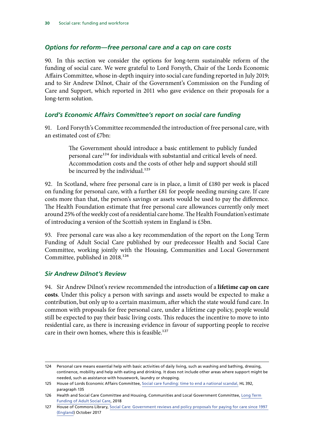#### <span id="page-31-0"></span>*Options for reform—free personal care and a cap on care costs*

90. In this section we consider the options for long-term sustainable reform of the funding of social care. We were grateful to Lord Forsyth, Chair of the Lords Economic Affairs Committee, whose in-depth inquiry into social care funding reported in July 2019; and to Sir Andrew Dilnot, Chair of the Government's Commission on the Funding of Care and Support, which reported in 2011 who gave evidence on their proposals for a long-term solution.

#### *Lord's Economic Affairs Committee's report on social care funding*

91. Lord Forsyth's Committee recommended the introduction of free personal care, with an estimated cost of £7bn:

> The Government should introduce a basic entitlement to publicly funded personal care<sup>124</sup> for individuals with substantial and critical levels of need. Accommodation costs and the costs of other help and support should still be incurred by the individual.<sup>125</sup>

92. In Scotland, where free personal care is in place, a limit of  $£180$  per week is placed on funding for personal care, with a further £81 for people needing nursing care. If care costs more than that, the person's savings or assets would be used to pay the difference. The Health Foundation estimate that free personal care allowances currently only meet around 25% of the weekly cost of a residential care home. The Health Foundation's estimate of introducing a version of the Scottish system in England is £5bn.

93. Free personal care was also a key recommendation of the report on the Long Term Funding of Adult Social Care published by our predecessor Health and Social Care Committee, working jointly with the Housing, Communities and Local Government Committee, published in 2018.<sup>126</sup>

#### *Sir Andrew Dilnot's Review*

94. Sir Andrew Dilnot's review recommended the introduction of a **lifetime cap on care costs**. Under this policy a person with savings and assets would be expected to make a contribution, but only up to a certain maximum, after which the state would fund care. In common with proposals for free personal care, under a lifetime cap policy, people would still be expected to pay their basic living costs. This reduces the incentive to move to into residential care, as there is increasing evidence in favour of supporting people to receive care in their own homes, where this is feasible.<sup>127</sup>

<sup>124</sup> Personal care means essential help with basic activities of daily living, such as washing and bathing, dressing, continence, mobility and help with eating and drinking. It does not include other areas where support might be needed, such as assistance with housework, laundry or shopping.

<sup>125</sup> House of Lords Economic Affairs Committee, [Social care funding: time to end a national scandal,](https://publications.parliament.uk/pa/ld201719/ldselect/ldeconaf/392/392.pdf) HL 392, paragraph 135

<sup>126</sup> Health and Social Care Committee and Housing, Communities and Local Government Committee, [Long Term](https://publications.parliament.uk/pa/cm201719/cmselect/cmcomloc/768/768.pdf)  [Funding of Adult Social Care,](https://publications.parliament.uk/pa/cm201719/cmselect/cmcomloc/768/768.pdf) 2018

<sup>127</sup> House of Commons Library, [Social Care: Government reviews and policy proposals for paying for care since 1997](https://commonslibrary.parliament.uk/research-briefings/cbp-8000/)  [\(England\)](https://commonslibrary.parliament.uk/research-briefings/cbp-8000/) October 2017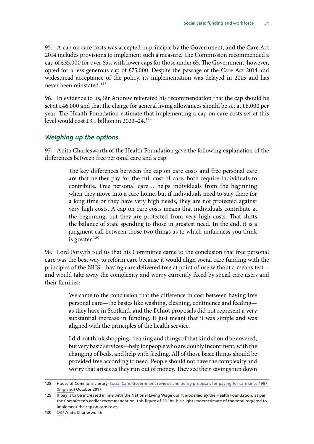<span id="page-32-0"></span>95. A cap on care costs was accepted in principle by the Government, and the Care Act 2014 includes provisions to implement such a measure. The Commission recommended a cap of £35,000 for over 65s, with lower caps for those under 65. The Government, however, opted for a less generous cap of £75,000. Despite the passage of the Care Act 2014 and widespread acceptance of the policy, its implementation was delayed in 2015 and has never been reinstated.128

96. In evidence to us, Sir Andrew reiterated his recommendation that the cap should be set at £46,000 and that the charge for general living allowances should be set at £8,000 per year. The Health Foundation estimate that implementing a cap on care costs set at this level would cost £3.1 billion in 2023–24.129

### *Weighing up the options*

97. Anita Charlesworth of the Health Foundation gave the following explanation of the differences between free personal care and a cap:

> The key differences between the cap on care costs and free personal care are that neither pay for the full cost of care; both require individuals to contribute. Free personal care… helps individuals from the beginning when they move into a care home, but if individuals need to stay there for a long time or they have very high needs, they are not protected against very high costs. A cap on care costs means that individuals contribute at the beginning, but they are protected from very high costs. That shifts the balance of state spending to those in greatest need. In the end, it is a judgment call between those two things as to which unfairness you think is greater.<sup>130</sup>

98. Lord Forsyth told us that his Committee came to the conclusion that free personal care was the best way to reform care because it would align social care funding with the principles of the NHS—having care delivered free at point of use without a means test and would take away the complexity and worry currently faced by social care users and their families:

> We came to the conclusion that the difference in cost between having free personal care—the basics like washing, cleaning, continence and feeding as they have in Scotland, and the Dilnot proposals did not represent a very substantial increase in funding. It just meant that it was simple and was aligned with the principles of the health service.

> I did not think shopping, cleaning and things of that kind should be covered, but very basic services—help for people who are doubly incontinent, with the changing of beds, and help with feeding. All of those basic things should be provided free according to need. People should not have the complexity and worry that arises as they run out of money. They see their savings run down

<sup>128</sup> House of Commons Library, [Social Care: Government reviews and policy proposals for paying for care since 1997](https://commonslibrary.parliament.uk/research-briefings/cbp-8000/)  [\(England\)](https://commonslibrary.parliament.uk/research-briefings/cbp-8000/) October 2017

<sup>129</sup> If pay is to be increased in line with the National Living Wage uplift modelled by the Health Foundation, as per the Committee's earlier recommendation, this figure of £3.1bn is a slight underestimate of the total required to implement the cap on care costs.

<sup>130</sup> [Q37](https://committees.parliament.uk//oralevidence/482/html) Anita Charlesworth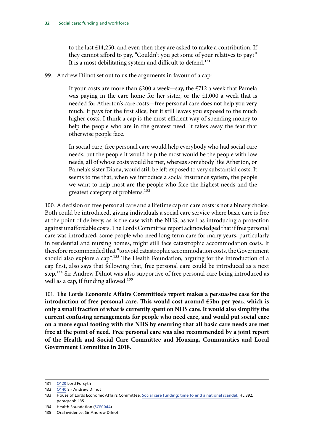to the last £14,250, and even then they are asked to make a contribution. If they cannot afford to pay, "Couldn't you get some of your relatives to pay?" It is a most debilitating system and difficult to defend.<sup>131</sup>

99. Andrew Dilnot set out to us the arguments in favour of a cap:

If your costs are more than £200 a week—say, the £712 a week that Pamela was paying in the care home for her sister, or the £1,000 a week that is needed for Atherton's care costs—free personal care does not help you very much. It pays for the first slice, but it still leaves you exposed to the much higher costs. I think a cap is the most efficient way of spending money to help the people who are in the greatest need. It takes away the fear that otherwise people face.

In social care, free personal care would help everybody who had social care needs, but the people it would help the most would be the people with low needs, all of whose costs would be met, whereas somebody like Atherton, or Pamela's sister Diana, would still be left exposed to very substantial costs. It seems to me that, when we introduce a social insurance system, the people we want to help most are the people who face the highest needs and the greatest category of problems.132

100. A decision on free personal care and a lifetime cap on care costs is not a binary choice. Both could be introduced, giving individuals a social care service where basic care is free at the point of delivery, as is the case with the NHS, as well as introducing a protection against unaffordable costs. The Lords Committee report acknowledged that if free personal care was introduced, some people who need long-term care for many years, particularly in residential and nursing homes, might still face catastrophic accommodation costs. It therefore recommended that "to avoid catastrophic accommodation costs, the Government should also explore a cap".<sup>133</sup> The Health Foundation, arguing for the introduction of a cap first, also says that following that, free personal care could be introduced as a next step.<sup>134</sup> Sir Andrew Dilnot was also supportive of free personal care being introduced as well as a cap, if funding allowed. $135$ 

101. **The Lords Economic Affairs Committee's report makes a persuasive case for the introduction of free personal care. This would cost around £5bn per year, which is only a small fraction of what is currently spent on NHS care. It would also simplify the current confusing arrangements for people who need care, and would put social care on a more equal footing with the NHS by ensuring that all basic care needs are met free at the point of need. Free personal care was also recommended by a joint report of the Health and Social Care Committee and Housing, Communities and Local Government Committee in 2018.**

<sup>131</sup> [Q120](https://committees.parliament.uk//oralevidence/706/html) Lord Forsyth

<sup>132</sup> [Q140](https://committees.parliament.uk//oralevidence/706/html) Sir Andrew Dilnot

<sup>133</sup> House of Lords Economic Affairs Committee, [Social care funding: time to end a national scandal,](https://publications.parliament.uk/pa/ld201719/ldselect/ldeconaf/392/392.pdf) HL 392, paragraph 135

<sup>134</sup> Health Foundation ([SCF0044\)](https://committees.parliament.uk/writtenevidence/6340/html)

<sup>135</sup> Oral evidence, Sir Andrew Dilnot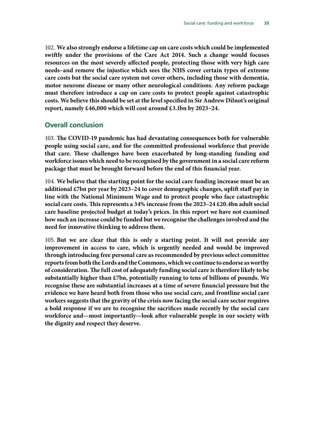<span id="page-34-0"></span>102. **We also strongly endorse a lifetime cap on care costs which could be implemented swiftly under the provisions of the Care Act 2014. Such a change would focuses resources on the most severely affected people, protecting those with very high care needs–and remove the injustice which sees the NHS cover certain types of extreme care costs but the social care system not cover others, including those with dementia, motor neurone disease or many other neurological conditions. Any reform package must therefore introduce a cap on care costs to protect people against catastrophic costs. We believe this should be set at the level specified in Sir Andrew Dilnot's original report, namely £46,000 which will cost around £3.1bn by 2023–24.**

#### **Overall conclusion**

103. **The COVID-19 pandemic has had devastating consequences both for vulnerable people using social care, and for the committed professional workforce that provide that care. These challenges have been exacerbated by long-standing funding and workforce issues which need to be recognised by the government in a social care reform package that must be brought forward before the end of this financial year.**

104. **We believe that the starting point for the social care funding increase must be an additional £7bn per year by 2023–24 to cover demographic changes, uplift staff pay in line with the National Minimum Wage and to protect people who face catastrophic social care costs. This represents a 34% increase from the 2023–24 £20.4bn adult social care baseline projected budget at today's prices. In this report we have not examined how such an increase could be funded but we recognise the challenges involved and the need for innovative thinking to address them.**

105. **But we are clear that this is only a starting point. It will not provide any improvement in access to care, which is urgently needed and would be improved through introducing free personal care as recommended by previous select committee reports from both the Lords and the Commons, which we continue to endorse as worthy of consideration. The full cost of adequately funding social care is therefore likely to be substantially higher than £7bn, potentially running to tens of billions of pounds. We recognise these are substantial increases at a time of severe financial pressure but the evidence we have heard both from those who use social care, and frontline social care workers suggests that the gravity of the crisis now facing the social care sector requires a bold response if we are to recognise the sacrifices made recently by the social care workforce and—most importantly—look after vulnerable people in our society with the dignity and respect they deserve.**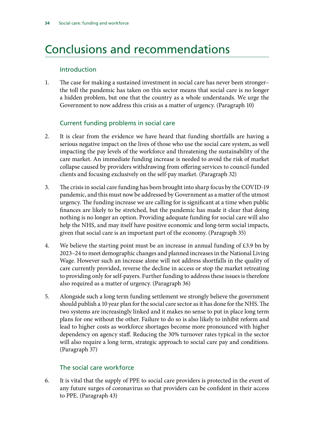## <span id="page-35-0"></span>Conclusions and recommendations

#### Introduction

1. The case for making a sustained investment in social care has never been stronger– the toll the pandemic has taken on this sector means that social care is no longer a hidden problem, but one that the country as a whole understands. We urge the Government to now address this crisis as a matter of urgency. (Paragraph 10)

### Current funding problems in social care

- 2. It is clear from the evidence we have heard that funding shortfalls are having a serious negative impact on the lives of those who use the social care system, as well impacting the pay levels of the workforce and threatening the sustainability of the care market. An immediate funding increase is needed to avoid the risk of market collapse caused by providers withdrawing from offering services to council-funded clients and focusing exclusively on the self-pay market. (Paragraph 32)
- 3. The crisis in social care funding has been brought into sharp focus by the COVID-19 pandemic, and this must now be addressed by Government as a matter of the utmost urgency. The funding increase we are calling for is significant at a time when public finances are likely to be stretched, but the pandemic has made it clear that doing nothing is no longer an option. Providing adequate funding for social care will also help the NHS, and may itself have positive economic and long-term social impacts, given that social care is an important part of the economy. (Paragraph 35)
- 4. We believe the starting point must be an increase in annual funding of  $\text{\pounds}3.9$  bn by 2023–24 to meet demographic changes and planned increases in the National Living Wage. However such an increase alone will not address shortfalls in the quality of care currently provided, reverse the decline in access or stop the market retreating to providing only for self-payers. Further funding to address these issues is therefore also required as a matter of urgency. (Paragraph 36)
- 5. Alongside such a long term funding settlement we strongly believe the government should publish a 10 year plan for the social care sector as it has done for the NHS. The two systems are increasingly linked and it makes no sense to put in place long term plans for one without the other. Failure to do so is also likely to inhibit reform and lead to higher costs as workforce shortages become more pronounced with higher dependency on agency staff. Reducing the 30% turnover rates typical in the sector will also require a long term, strategic approach to social care pay and conditions. (Paragraph 37)

### The social care workforce

6. It is vital that the supply of PPE to social care providers is protected in the event of any future surges of coronavirus so that providers can be confident in their access to PPE. (Paragraph 43)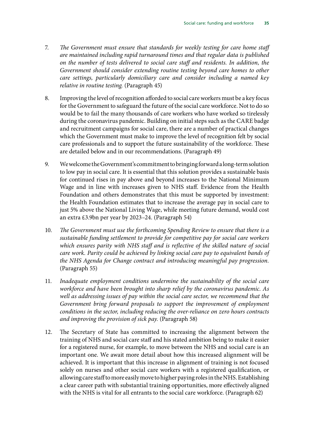- 7. *The Government must ensure that standards for weekly testing for care home staff are maintained including rapid turnaround times and that regular data is published on the number of tests delivered to social care staff and residents. In addition, the Government should consider extending routine testing beyond care homes to other care settings, particularly domiciliary care and consider including a named key relative in routine testing.* (Paragraph 45)
- 8. Improving the level of recognition afforded to social care workers must be a key focus for the Government to safeguard the future of the social care workforce. Not to do so would be to fail the many thousands of care workers who have worked so tirelessly during the coronavirus pandemic. Building on initial steps such as the CARE badge and recruitment campaigns for social care, there are a number of practical changes which the Government must make to improve the level of recognition felt by social care professionals and to support the future sustainability of the workforce. These are detailed below and in our recommendations. (Paragraph 49)
- 9. We welcome the Government's commitment to bringing forward a long-term solution to low pay in social care. It is essential that this solution provides a sustainable basis for continued rises in pay above and beyond increases to the National Minimum Wage and in line with increases given to NHS staff. Evidence from the Health Foundation and others demonstrates that this must be supported by investment: the Health Foundation estimates that to increase the average pay in social care to just 5% above the National Living Wage, while meeting future demand, would cost an extra £3.9bn per year by 2023–24. (Paragraph 54)
- 10. *The Government must use the forthcoming Spending Review to ensure that there is a sustainable funding settlement to provide for competitive pay for social care workers which ensures parity with NHS staff and is reflective of the skilled nature of social care work. Parity could be achieved by linking social care pay to equivalent bands of the NHS Agenda for Change contract and introducing meaningful pay progression.*  (Paragraph 55)
- 11. *Inadequate employment conditions undermine the sustainability of the social care workforce and have been brought into sharp relief by the coronavirus pandemic. As well as addressing issues of pay within the social care sector, we recommend that the Government bring forward proposals to support the improvement of employment conditions in the sector, including reducing the over-reliance on zero hours contracts and improving the provision of sick pay.* (Paragraph 58)
- 12. The Secretary of State has committed to increasing the alignment between the training of NHS and social care staff and his stated ambition being to make it easier for a registered nurse, for example, to move between the NHS and social care is an important one. We await more detail about how this increased alignment will be achieved. It is important that this increase in alignment of training is not focused solely on nurses and other social care workers with a registered qualification, or allowing care staff to more easily move to higher paying roles in the NHS. Establishing a clear career path with substantial training opportunities, more effectively aligned with the NHS is vital for all entrants to the social care workforce. (Paragraph 62)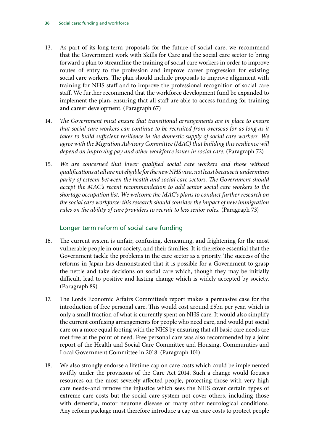- 13. As part of its long-term proposals for the future of social care, we recommend that the Government work with Skills for Care and the social care sector to bring forward a plan to streamline the training of social care workers in order to improve routes of entry to the profession and improve career progression for existing social care workers. The plan should include proposals to improve alignment with training for NHS staff and to improve the professional recognition of social care staff. We further recommend that the workforce development fund be expanded to implement the plan, ensuring that all staff are able to access funding for training and career development. (Paragraph 67)
- 14. *The Government must ensure that transitional arrangements are in place to ensure that social care workers can continue to be recruited from overseas for as long as it takes to build sufficient resilience in the domestic supply of social care workers. We agree with the Migration Advisory Committee (MAC) that building this resilience will depend on improving pay and other workforce issues in social care.* (Paragraph 72)
- 15. *We are concerned that lower qualified social care workers and those without qualifications at all are not eligible for the new NHS visa, not least because it undermines parity of esteem between the health and social care sectors. The Government should accept the MAC's recent recommendation to add senior social care workers to the shortage occupation list. We welcome the MAC's plans to conduct further research on the social care workforce: this research should consider the impact of new immigration rules on the ability of care providers to recruit to less senior roles.* (Paragraph 73)

#### Longer term reform of social care funding

- 16. The current system is unfair, confusing, demeaning, and frightening for the most vulnerable people in our society, and their families. It is therefore essential that the Government tackle the problems in the care sector as a priority. The success of the reforms in Japan has demonstrated that it is possible for a Government to grasp the nettle and take decisions on social care which, though they may be initially difficult, lead to positive and lasting change which is widely accepted by society. (Paragraph 89)
- 17. The Lords Economic Affairs Committee's report makes a persuasive case for the introduction of free personal care. This would cost around £5bn per year, which is only a small fraction of what is currently spent on NHS care. It would also simplify the current confusing arrangements for people who need care, and would put social care on a more equal footing with the NHS by ensuring that all basic care needs are met free at the point of need. Free personal care was also recommended by a joint report of the Health and Social Care Committee and Housing, Communities and Local Government Committee in 2018. (Paragraph 101)
- 18. We also strongly endorse a lifetime cap on care costs which could be implemented swiftly under the provisions of the Care Act 2014. Such a change would focuses resources on the most severely affected people, protecting those with very high care needs–and remove the injustice which sees the NHS cover certain types of extreme care costs but the social care system not cover others, including those with dementia, motor neurone disease or many other neurological conditions. Any reform package must therefore introduce a cap on care costs to protect people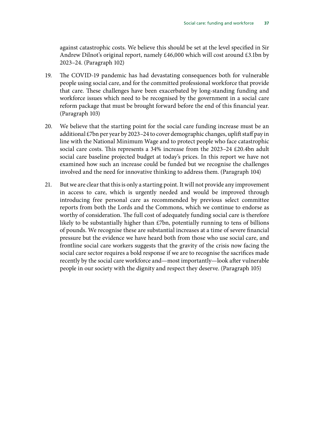against catastrophic costs. We believe this should be set at the level specified in Sir Andrew Dilnot's original report, namely £46,000 which will cost around £3.1bn by 2023–24. (Paragraph 102)

- 19. The COVID-19 pandemic has had devastating consequences both for vulnerable people using social care, and for the committed professional workforce that provide that care. These challenges have been exacerbated by long-standing funding and workforce issues which need to be recognised by the government in a social care reform package that must be brought forward before the end of this financial year. (Paragraph 103)
- 20. We believe that the starting point for the social care funding increase must be an additional £7bn per year by 2023–24 to cover demographic changes, uplift staff pay in line with the National Minimum Wage and to protect people who face catastrophic social care costs. This represents a 34% increase from the 2023–24 £20.4bn adult social care baseline projected budget at today's prices. In this report we have not examined how such an increase could be funded but we recognise the challenges involved and the need for innovative thinking to address them. (Paragraph 104)
- 21. But we are clear that this is only a starting point. It will not provide any improvement in access to care, which is urgently needed and would be improved through introducing free personal care as recommended by previous select committee reports from both the Lords and the Commons, which we continue to endorse as worthy of consideration. The full cost of adequately funding social care is therefore likely to be substantially higher than £7bn, potentially running to tens of billions of pounds. We recognise these are substantial increases at a time of severe financial pressure but the evidence we have heard both from those who use social care, and frontline social care workers suggests that the gravity of the crisis now facing the social care sector requires a bold response if we are to recognise the sacrifices made recently by the social care workforce and—most importantly—look after vulnerable people in our society with the dignity and respect they deserve. (Paragraph 105)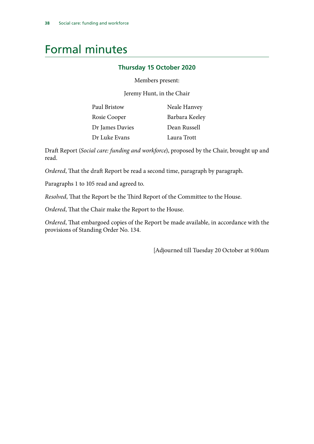## <span id="page-39-0"></span>Formal minutes

### **Thursday 15 October 2020**

Members present:

Jeremy Hunt, in the Chair

| Paul Bristow    | Neale Hanvey   |
|-----------------|----------------|
| Rosie Cooper    | Barbara Keeley |
| Dr James Davies | Dean Russell   |
| Dr Luke Evans   | Laura Trott    |

Draft Report (*Social care: funding and workforce*), proposed by the Chair, brought up and read.

*Ordered*, That the draft Report be read a second time, paragraph by paragraph.

Paragraphs 1 to 105 read and agreed to.

*Resolved*, That the Report be the Third Report of the Committee to the House.

*Ordered*, That the Chair make the Report to the House.

*Ordered*, That embargoed copies of the Report be made available, in accordance with the provisions of Standing Order No. 134.

[Adjourned till Tuesday 20 October at 9.00am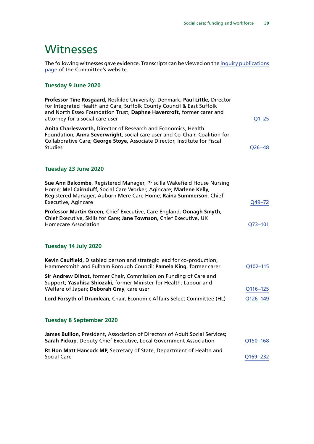## <span id="page-40-0"></span>**Witnesses**

The following witnesses gave evidence. Transcripts can be viewed on the [inquiry publications](https://committees.parliament.uk/work/136/default/publications/oral-evidence/) [page](https://committees.parliament.uk/work/136/default/publications/oral-evidence/) of the Committee's website.

### **Tuesday 9 June 2020**

| Professor Tine Rosgaard, Roskilde University, Denmark; Paul Little, Director<br>for Integrated Health and Care, Suffolk County Council & East Suffolk<br>and North Essex Foundation Trust; Daphne Havercroft, former carer and<br>attorney for a social care user | $Q1 - 25$   |
|-------------------------------------------------------------------------------------------------------------------------------------------------------------------------------------------------------------------------------------------------------------------|-------------|
| Anita Charlesworth, Director of Research and Economics, Health<br>Foundation; Anna Severwright, social care user and Co-Chair, Coalition for<br>Collaborative Care; George Stoye, Associate Director, Institute for Fiscal<br><b>Studies</b>                      | $Q26 - 48$  |
| Tuesday 23 June 2020                                                                                                                                                                                                                                              |             |
| Sue Ann Balcombe, Registered Manager, Priscilla Wakefield House Nursing<br>Home; Mel Cairnduff, Social Care Worker, Agincare; Marlene Kelly,<br>Registered Manager, Auburn Mere Care Home; Raina Summerson, Chief<br><b>Executive, Agincare</b>                   | Q49-72      |
| Professor Martin Green, Chief Executive, Care England; Oonagh Smyth,<br>Chief Executive, Skills for Care; Jane Townson, Chief Executive, UK<br><b>Homecare Association</b>                                                                                        | $Q73 - 101$ |
| Tuesday 14 July 2020                                                                                                                                                                                                                                              |             |
| Kevin Caulfield, Disabled person and strategic lead for co-production,<br>Hammersmith and Fulham Borough Council; Pamela King, former carer                                                                                                                       | Q102-115    |
| Sir Andrew Dilnot, former Chair, Commission on Funding of Care and<br>Support; Yasuhisa Shiozaki, former Minister for Health, Labour and<br>Welfare of Japan; Deborah Gray, care user                                                                             | Q116-125    |
| Lord Forsyth of Drumlean, Chair, Economic Affairs Select Committee (HL)                                                                                                                                                                                           | Q126-149    |
| <b>Tuesday 8 September 2020</b>                                                                                                                                                                                                                                   |             |
| James Bullion, President, Association of Directors of Adult Social Services;<br>Sarah Pickup, Deputy Chief Executive, Local Government Association                                                                                                                | Q150-168    |
| Rt Hon Matt Hancock MP, Secretary of State, Department of Health and                                                                                                                                                                                              |             |

Social Care [Q169–232](https://committees.parliament.uk/oralevidence/817/html/)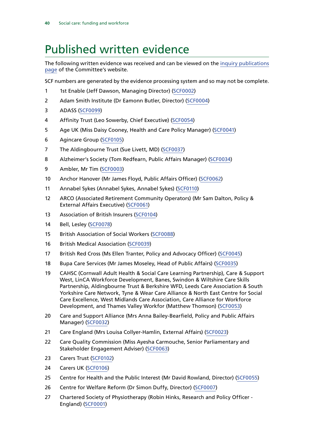## <span id="page-41-0"></span>Published written evidence

The following written evidence was received and can be viewed on the [inquiry publications](https://committees.parliament.uk/work/136/default/publications/written-evidence/) [page](https://committees.parliament.uk/work/136/default/publications/written-evidence/) of the Committee's website.

SCF numbers are generated by the evidence processing system and so may not be complete.

- 1 1st Enable (Jeff Dawson, Managing Director) ([SCF0002\)](https://committees.parliament.uk/writtenevidence/814/html/)
- Adam Smith Institute (Dr Eamonn Butler, Director) ([SCF0004](https://committees.parliament.uk/writtenevidence/964/html/))
- ADASS [\(SCF0099](https://committees.parliament.uk/writtenevidence/9547/html/))
- Affinity Trust (Leo Sowerby, Chief Executive) ([SCF0054](https://committees.parliament.uk/writtenevidence/6361/html/))
- Age UK (Miss Daisy Cooney, Health and Care Policy Manager) [\(SCF0041](https://committees.parliament.uk/writtenevidence/6329/html/))
- Agincare Group [\(SCF0105\)](https://committees.parliament.uk/writtenevidence/9574/html/)
- The Aldingbourne Trust (Sue Livett, MD) ([SCF0037](https://committees.parliament.uk/writtenevidence/6310/html/))
- Alzheimer's Society (Tom Redfearn, Public Affairs Manager) [\(SCF0034](https://committees.parliament.uk/writtenevidence/6299/html/))
- Ambler, Mr Tim ([SCF0003\)](https://committees.parliament.uk/writtenevidence/918/html/)
- Anchor Hanover (Mr James Floyd, Public Affairs Officer) [\(SCF0062](https://committees.parliament.uk/writtenevidence/6507/html/))
- Annabel Sykes (Annabel Sykes, Annabel Sykes) ([SCF0110\)](https://committees.parliament.uk/writtenevidence/9933/html/)
- ARCO (Associated Retirement Community Operators) (Mr Sam Dalton, Policy & External Affairs Executive) [\(SCF0061\)](https://committees.parliament.uk/writtenevidence/6465/html/)
- Association of British Insurers [\(SCF0104](https://committees.parliament.uk/writtenevidence/9570/html/))
- Bell, Lesley [\(SCF0078\)](https://committees.parliament.uk/writtenevidence/9029/html/)
- British Association of Social Workers [\(SCF0088](https://committees.parliament.uk/writtenevidence/9435/html/))
- British Medical Association ([SCF0039\)](https://committees.parliament.uk/writtenevidence/6326/html/)
- British Red Cross (Ms Ellen Tranter, Policy and Advocacy Officer) ([SCF0045](https://committees.parliament.uk/writtenevidence/6341/html/))
- Bupa Care Services (Mr James Moseley, Head of Public Affairs) [\(SCF0035\)](https://committees.parliament.uk/writtenevidence/6307/html/)
- CAHSC (Cornwall Adult Health & Social Care Learning Partnership), Care & Support West, LinCA Workforce Development, Banes, Swindon & Wiltshire Care Skills Partnership, Aldingbourne Trust & Berkshire WFD, Leeds Care Association & South Yorkshire Care Network, Tyne & Wear Care Alliance & North East Centre for Social Care Excellence, West Midlands Care Association, Care Alliance for Workforce Development, and Thames Valley Workfor (Matthew Thomson) [\(SCF0053](https://committees.parliament.uk/writtenevidence/6358/html/))
- Care and Support Alliance (Mrs Anna Bailey-Bearfield, Policy and Public Affairs Manager) [\(SCF0032\)](https://committees.parliament.uk/writtenevidence/6295/html/)
- Care England (Mrs Louisa Collyer-Hamlin, External Affairs) [\(SCF0023\)](https://committees.parliament.uk/writtenevidence/6260/html/)
- 22 Care Quality Commission (Miss Ayesha Carmouche, Senior Parliamentary and Stakeholder Engagement Adviser) ([SCF0063\)](https://committees.parliament.uk/writtenevidence/6538/html/)
- Carers Trust ([SCF0102](https://committees.parliament.uk/writtenevidence/9563/html/))
- Carers UK [\(SCF0106\)](https://committees.parliament.uk/writtenevidence/9580/html/)
- Centre for Health and the Public Interest (Mr David Rowland, Director) [\(SCF0055](https://committees.parliament.uk/writtenevidence/6384/html/))
- Centre for Welfare Reform (Dr Simon Duffy, Director) ([SCF0007\)](https://committees.parliament.uk/writtenevidence/4570/default/)
- Chartered Society of Physiotherapy (Robin Hinks, Research and Policy Officer England) [\(SCF0001\)](https://committees.parliament.uk/writtenevidence/706/html/)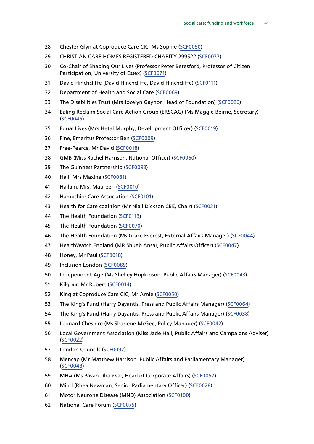- Chester-Glyn at Coproduce Care CIC, Ms Sophie ([SCF0050\)](https://committees.parliament.uk/writtenevidence/6354/html/)
- CHRISTIAN CARE HOMES REGISTERED CHARITY 299522 ([SCF0077\)](https://committees.parliament.uk/writtenevidence/9011/html/)
- Co-Chair of Shaping Our Lives (Professor Peter Beresford, Professor of Citizen Participation, University of Essex) ([SCF0071\)](https://committees.parliament.uk/writtenevidence/8377/html/)
- David Hinchcliffe (David Hinchcliffe, David Hinchcliffe) [\(SCF0111](https://committees.parliament.uk/writtenevidence/10004/html/))
- Department of Health and Social Care ([SCF0069\)](https://committees.parliament.uk/writtenevidence/7686/html/)
- The Disabilities Trust (Mrs Jocelyn Gaynor, Head of Foundation) [\(SCF0026](https://committees.parliament.uk/writtenevidence/6279/html/))
- Ealing Reclaim Social Care Action Group (ERSCAG) (Ms Maggie Beirne, Secretary) ([SCF0046](https://committees.parliament.uk/writtenevidence/6342/html/))
- Equal Lives (Mrs Hetal Murphy, Development Offiicer) ([SCF0019\)](https://committees.parliament.uk/writtenevidence/6238/html/)
- Fine, Emeritus Professor Ben ([SCF0009](https://committees.parliament.uk/writtenevidence/4668/html/))
- Free-Pearce, Mr David [\(SCF0018\)](https://committees.parliament.uk/writtenevidence/6234/html/)
- GMB (Miss Rachel Harrison, National Officer) [\(SCF0060](https://committees.parliament.uk/writtenevidence/6463/html/))
- The Guinness Partnership [\(SCF0093](https://committees.parliament.uk/writtenevidence/9488/html/))
- Hall, Mrs Maxine [\(SCF0081\)](https://committees.parliament.uk/writtenevidence/9348/html/)
- Hallam, Mrs. Maureen [\(SCF0010\)](https://committees.parliament.uk/writtenevidence/4724/html/)
- Hampshire Care Association ([SCF0101](https://committees.parliament.uk/writtenevidence/9561/html/))
- Health for Care coalition (Mr Niall Dickson CBE, Chair) ([SCF0031\)](https://committees.parliament.uk/writtenevidence/6291/html/)
- The Health Foundation ([SCF0113](https://committees.parliament.uk/writtenevidence/12588/html/))
- The Health Foundation ([SCF0070](https://committees.parliament.uk/writtenevidence/7714/html/))
- The Health Foundation (Ms Grace Everest, External Affairs Manager) [\(SCF0044\)](https://committees.parliament.uk/writtenevidence/6340/html/)
- HealthWatch England (MR Shueb Ansar, Public Affairs Officer) ([SCF0047\)](https://committees.parliament.uk/writtenevidence/6347/html/)
- Honey, Mr Paul [\(SCF0018](https://committees.parliament.uk/writtenevidence/6234/html/))
- Inclusion London [\(SCF0089\)](https://committees.parliament.uk/writtenevidence/9450/html/)
- Independent Age (Ms Shelley Hopkinson, Public Affairs Manager) [\(SCF0043](https://committees.parliament.uk/writtenevidence/6337/html/))
- Kilgour, Mr Robert [\(SCF0014\)](https://committees.parliament.uk/writtenevidence/5615/html/)
- King at Coproduce Care CIC, Mr Arnie [\(SCF0050](https://committees.parliament.uk/writtenevidence/6354/html/))
- The King's Fund (Harry Dayantis, Press and Public Affairs Manager) [\(SCF0064\)](https://committees.parliament.uk/writtenevidence/6563/html/)
- The King's Fund (Harry Dayantis, Press and Public Affairs Manager) [\(SCF0038](https://committees.parliament.uk/writtenevidence/6322/html/))
- Leonard Cheshire (Ms Sharlene McGee, Policy Manager) ([SCF0042\)](https://committees.parliament.uk/writtenevidence/6335/html/)
- Local Government Association (Miss Jade Hall, Public Affairs and Campaigns Adviser) ([SCF0022](https://committees.parliament.uk/writtenevidence/6253/html/))
- London Councils [\(SCF0097](https://committees.parliament.uk/writtenevidence/9523/html/))
- Mencap (Mr Matthew Harrison, Public Affairs and Parliamentary Manager) ([SCF0048](https://committees.parliament.uk/writtenevidence/6348/html/))
- MHA (Ms Pavan Dhaliwal, Head of Corporate Affairs) ([SCF0057\)](https://committees.parliament.uk/writtenevidence/6419/html/)
- Mind (Rhea Newman, Senior Parliamentary Officer) [\(SCF0028](https://committees.parliament.uk/writtenevidence/6284/html/))
- Motor Neurone Disease (MND) Association ([SCF0100](https://committees.parliament.uk/writtenevidence/9550/html/))
- National Care Forum [\(SCF0075](https://committees.parliament.uk/writtenevidence/8791/html/))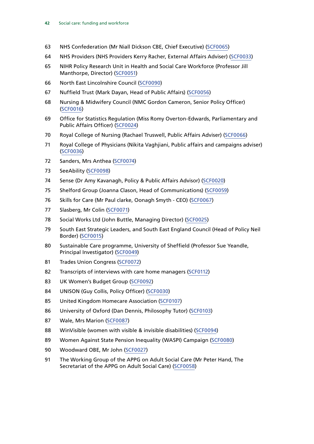- NHS Confederation (Mr Niall Dickson CBE, Chief Executive) [\(SCF0065](https://committees.parliament.uk/writtenevidence/6593/html/))
- NHS Providers (NHS Providers Kerry Racher, External Affairs Adviser) [\(SCF0033\)](https://committees.parliament.uk/writtenevidence/6298/html/)
- NIHR Policy Research Unit in Health and Social Care Workforce (Professor Jill Manthorpe, Director) [\(SCF0051](https://committees.parliament.uk/writtenevidence/6356/html/))
- North East Lincolnshire Council ([SCF0090](https://committees.parliament.uk/writtenevidence/9481/html/))
- Nuffield Trust (Mark Dayan, Head of Public Affairs) ([SCF0056\)](https://committees.parliament.uk/writtenevidence/6396/html/)
- Nursing & Midwifery Council (NMC Gordon Cameron, Senior Policy Officer) ([SCF0016\)](https://committees.parliament.uk/writtenevidence/5941/html/)
- Office for Statistics Regulation (Miss Romy Overton-Edwards, Parliamentary and Public Affairs Officer) [\(SCF0024\)](https://committees.parliament.uk/writtenevidence/6264/html/)
- Royal College of Nursing (Rachael Truswell, Public Affairs Adviser) ([SCF0066\)](https://committees.parliament.uk/writtenevidence/6657/html/)
- Royal College of Physicians (Nikita Vaghjiani, Public affairs and campaigns adviser) ([SCF0036\)](https://committees.parliament.uk/writtenevidence/6309/html/)
- Sanders, Mrs Anthea ([SCF0074](https://committees.parliament.uk/writtenevidence/8549/html/))
- SeeAbility ([SCF0098\)](https://committees.parliament.uk/writtenevidence/9533/html/)
- Sense (Dr Amy Kavanagh, Policy & Public Affairs Advisor) [\(SCF0020](https://committees.parliament.uk/writtenevidence/6241/html/))
- Shelford Group (Joanna Clason, Head of Communications) ([SCF0059](https://committees.parliament.uk/writtenevidence/6443/html/))
- Skills for Care (Mr Paul clarke, Oonagh Smyth CEO) [\(SCF0067\)](https://committees.parliament.uk/writtenevidence/6736/html/)
- Slasberg, Mr Colin [\(SCF0071](https://committees.parliament.uk/writtenevidence/8377/html/))
- Social Works Ltd (John Buttle, Managing Director) ([SCF0025\)](https://committees.parliament.uk/writtenevidence/6272/html/)
- South East Strategic Leaders, and South East England Council (Head of Policy Neil Border) [\(SCF0015\)](https://committees.parliament.uk/writtenevidence/5621/html/)
- Sustainable Care programme, University of Sheffield (Professor Sue Yeandle, Principal Investigator) [\(SCF0049](https://committees.parliament.uk/writtenevidence/6349/html/))
- Trades Union Congress ([SCF0072](https://committees.parliament.uk/writtenevidence/8516/html/))
- Transcripts of interviews with care home managers ([SCF0112\)](https://committees.parliament.uk/writtenevidence/10906/html/)
- UK Women's Budget Group ([SCF0092](https://committees.parliament.uk/writtenevidence/9487/html/))
- UNISON (Guy Collis, Policy Officer) [\(SCF0030](https://committees.parliament.uk/writtenevidence/6289/html/))
- United Kingdom Homecare Association ([SCF0107\)](https://committees.parliament.uk/writtenevidence/9583/html/)
- University of Oxford (Dan Dennis, Philosophy Tutor) [\(SCF0103\)](https://committees.parliament.uk/writtenevidence/9569/default/)
- Wale, Mrs Marion [\(SCF0087](https://committees.parliament.uk/writtenevidence/9433/html/))
- WinVisible (women with visible & invisible disabilities) [\(SCF0094\)](https://committees.parliament.uk/writtenevidence/9497/html/)
- Women Against State Pension Inequality (WASPI) Campaign [\(SCF0080\)](https://committees.parliament.uk/writtenevidence/9319/html/)
- Woodward OBE, Mr John [\(SCF0027](https://committees.parliament.uk/writtenevidence/6282/html/))
- The Working Group of the APPG on Adult Social Care (Mr Peter Hand, The Secretariat of the APPG on Adult Social Care) [\(SCF0058](https://committees.parliament.uk/writtenevidence/6425/html/))